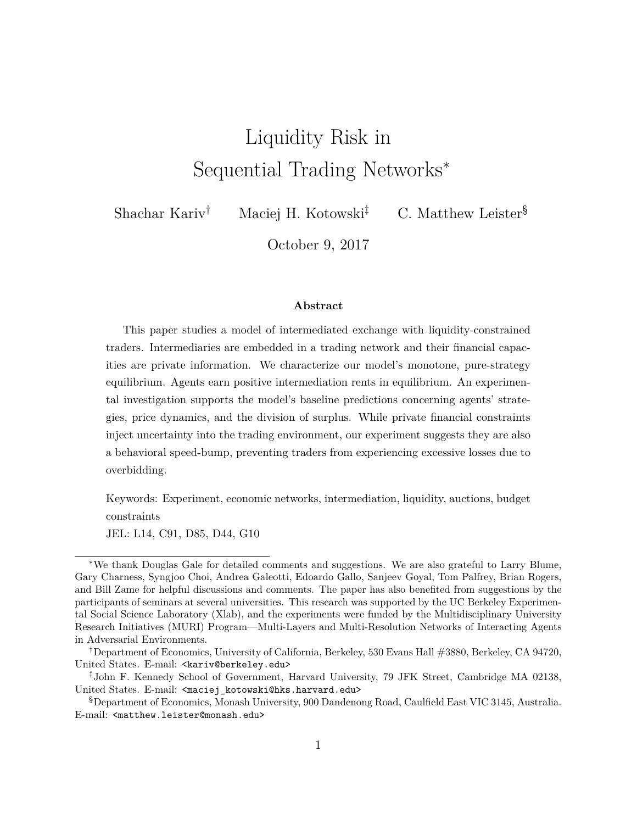# Liquidity Risk in Sequential Trading Networks<sup>∗</sup>

Shachar Kariv<sup>†</sup> Maciej H. Kotowski<sup>‡</sup> C. Matthew Leister<sup>§</sup>

October 9, 2017

#### **Abstract**

This paper studies a model of intermediated exchange with liquidity-constrained traders. Intermediaries are embedded in a trading network and their financial capacities are private information. We characterize our model's monotone, pure-strategy equilibrium. Agents earn positive intermediation rents in equilibrium. An experimental investigation supports the model's baseline predictions concerning agents' strategies, price dynamics, and the division of surplus. While private financial constraints inject uncertainty into the trading environment, our experiment suggests they are also a behavioral speed-bump, preventing traders from experiencing excessive losses due to overbidding.

Keywords: Experiment, economic networks, intermediation, liquidity, auctions, budget constraints

JEL: L14, C91, D85, D44, G10

<sup>∗</sup>We thank Douglas Gale for detailed comments and suggestions. We are also grateful to Larry Blume, Gary Charness, Syngjoo Choi, Andrea Galeotti, Edoardo Gallo, Sanjeev Goyal, Tom Palfrey, Brian Rogers, and Bill Zame for helpful discussions and comments. The paper has also benefited from suggestions by the participants of seminars at several universities. This research was supported by the UC Berkeley Experimental Social Science Laboratory (Xlab), and the experiments were funded by the Multidisciplinary University Research Initiatives (MURI) Program—Multi-Layers and Multi-Resolution Networks of Interacting Agents in Adversarial Environments.

<sup>†</sup>Department of Economics, University of California, Berkeley, 530 Evans Hall #3880, Berkeley, CA 94720, United States. E-mail: <kariv@berkeley.edu>

<sup>‡</sup>John F. Kennedy School of Government, Harvard University, 79 JFK Street, Cambridge MA 02138, United States. E-mail: <maciej kotowski@hks.harvard.edu>

<sup>§</sup>Department of Economics, Monash University, 900 Dandenong Road, Caulfield East VIC 3145, Australia. E-mail: <matthew.leister@monash.edu>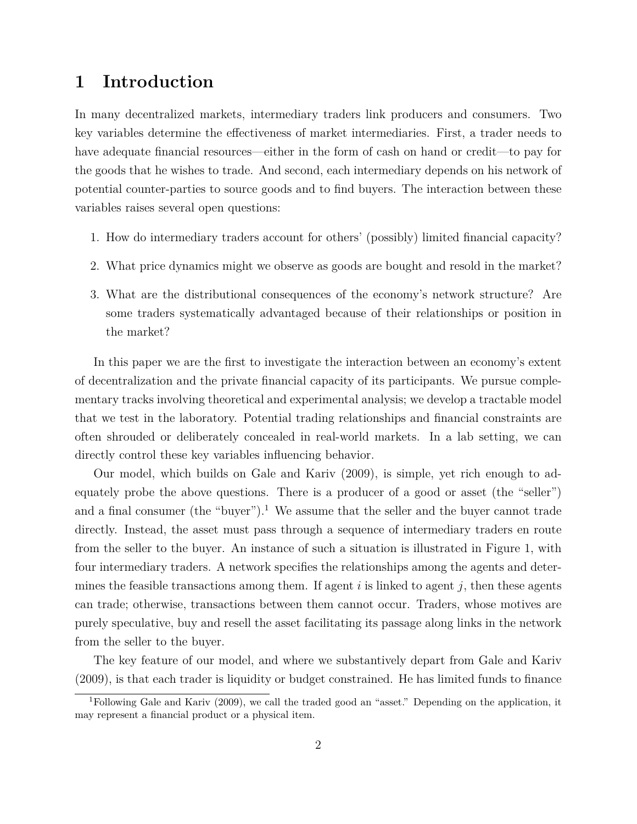## **1 Introduction**

In many decentralized markets, intermediary traders link producers and consumers. Two key variables determine the effectiveness of market intermediaries. First, a trader needs to have adequate financial resources—either in the form of cash on hand or credit—to pay for the goods that he wishes to trade. And second, each intermediary depends on his network of potential counter-parties to source goods and to find buyers. The interaction between these variables raises several open questions:

- 1. How do intermediary traders account for others' (possibly) limited financial capacity?
- 2. What price dynamics might we observe as goods are bought and resold in the market?
- 3. What are the distributional consequences of the economy's network structure? Are some traders systematically advantaged because of their relationships or position in the market?

In this paper we are the first to investigate the interaction between an economy's extent of decentralization and the private financial capacity of its participants. We pursue complementary tracks involving theoretical and experimental analysis; we develop a tractable model that we test in the laboratory. Potential trading relationships and financial constraints are often shrouded or deliberately concealed in real-world markets. In a lab setting, we can directly control these key variables influencing behavior.

Our model, which builds on Gale and Kariv (2009), is simple, yet rich enough to adequately probe the above questions. There is a producer of a good or asset (the "seller") and a final consumer (the "buyer").<sup>1</sup> We assume that the seller and the buyer cannot trade directly. Instead, the asset must pass through a sequence of intermediary traders en route from the seller to the buyer. An instance of such a situation is illustrated in Figure 1, with four intermediary traders. A network specifies the relationships among the agents and determines the feasible transactions among them. If agent  $i$  is linked to agent  $j$ , then these agents can trade; otherwise, transactions between them cannot occur. Traders, whose motives are purely speculative, buy and resell the asset facilitating its passage along links in the network from the seller to the buyer.

The key feature of our model, and where we substantively depart from Gale and Kariv (2009), is that each trader is liquidity or budget constrained. He has limited funds to finance

<sup>1</sup>Following Gale and Kariv (2009), we call the traded good an "asset." Depending on the application, it may represent a financial product or a physical item.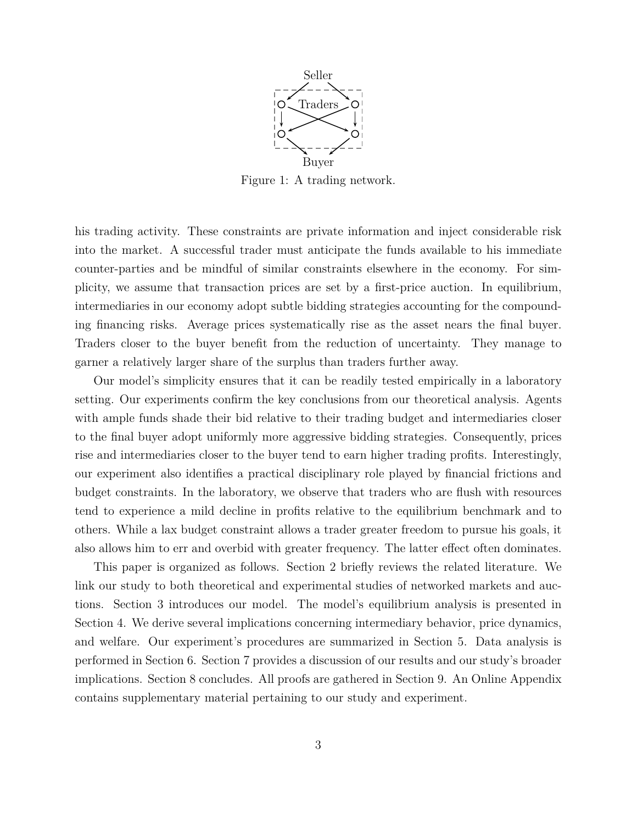

Figure 1: A trading network.

his trading activity. These constraints are private information and inject considerable risk into the market. A successful trader must anticipate the funds available to his immediate counter-parties and be mindful of similar constraints elsewhere in the economy. For simplicity, we assume that transaction prices are set by a first-price auction. In equilibrium, intermediaries in our economy adopt subtle bidding strategies accounting for the compounding financing risks. Average prices systematically rise as the asset nears the final buyer. Traders closer to the buyer benefit from the reduction of uncertainty. They manage to garner a relatively larger share of the surplus than traders further away.

Our model's simplicity ensures that it can be readily tested empirically in a laboratory setting. Our experiments confirm the key conclusions from our theoretical analysis. Agents with ample funds shade their bid relative to their trading budget and intermediaries closer to the final buyer adopt uniformly more aggressive bidding strategies. Consequently, prices rise and intermediaries closer to the buyer tend to earn higher trading profits. Interestingly, our experiment also identifies a practical disciplinary role played by financial frictions and budget constraints. In the laboratory, we observe that traders who are flush with resources tend to experience a mild decline in profits relative to the equilibrium benchmark and to others. While a lax budget constraint allows a trader greater freedom to pursue his goals, it also allows him to err and overbid with greater frequency. The latter effect often dominates.

This paper is organized as follows. Section 2 briefly reviews the related literature. We link our study to both theoretical and experimental studies of networked markets and auctions. Section 3 introduces our model. The model's equilibrium analysis is presented in Section 4. We derive several implications concerning intermediary behavior, price dynamics, and welfare. Our experiment's procedures are summarized in Section 5. Data analysis is performed in Section 6. Section 7 provides a discussion of our results and our study's broader implications. Section 8 concludes. All proofs are gathered in Section 9. An Online Appendix contains supplementary material pertaining to our study and experiment.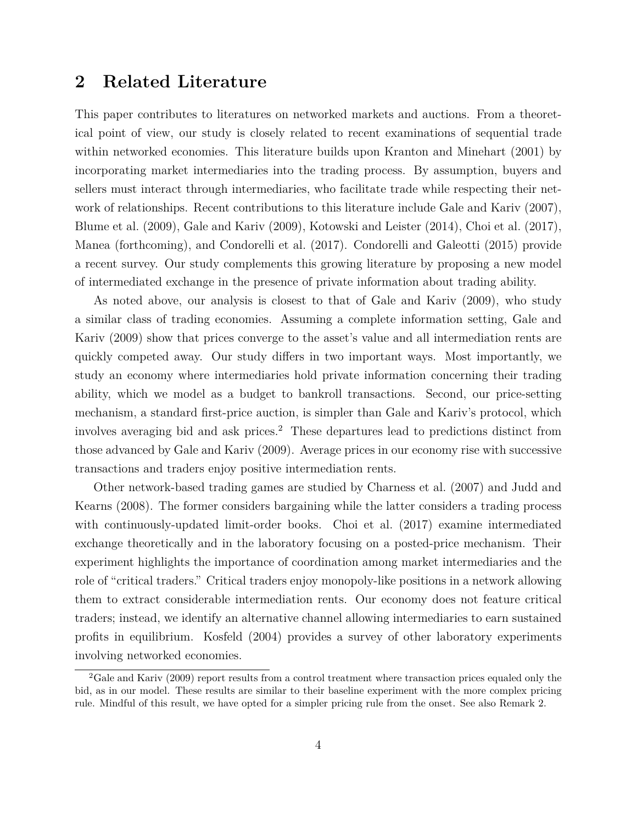### **2 Related Literature**

This paper contributes to literatures on networked markets and auctions. From a theoretical point of view, our study is closely related to recent examinations of sequential trade within networked economies. This literature builds upon Kranton and Minehart (2001) by incorporating market intermediaries into the trading process. By assumption, buyers and sellers must interact through intermediaries, who facilitate trade while respecting their network of relationships. Recent contributions to this literature include Gale and Kariv (2007), Blume et al. (2009), Gale and Kariv (2009), Kotowski and Leister (2014), Choi et al. (2017), Manea (forthcoming), and Condorelli et al. (2017). Condorelli and Galeotti (2015) provide a recent survey. Our study complements this growing literature by proposing a new model of intermediated exchange in the presence of private information about trading ability.

As noted above, our analysis is closest to that of Gale and Kariv (2009), who study a similar class of trading economies. Assuming a complete information setting, Gale and Kariv (2009) show that prices converge to the asset's value and all intermediation rents are quickly competed away. Our study differs in two important ways. Most importantly, we study an economy where intermediaries hold private information concerning their trading ability, which we model as a budget to bankroll transactions. Second, our price-setting mechanism, a standard first-price auction, is simpler than Gale and Kariv's protocol, which involves averaging bid and ask prices.<sup>2</sup> These departures lead to predictions distinct from those advanced by Gale and Kariv (2009). Average prices in our economy rise with successive transactions and traders enjoy positive intermediation rents.

Other network-based trading games are studied by Charness et al. (2007) and Judd and Kearns (2008). The former considers bargaining while the latter considers a trading process with continuously-updated limit-order books. Choi et al. (2017) examine intermediated exchange theoretically and in the laboratory focusing on a posted-price mechanism. Their experiment highlights the importance of coordination among market intermediaries and the role of "critical traders." Critical traders enjoy monopoly-like positions in a network allowing them to extract considerable intermediation rents. Our economy does not feature critical traders; instead, we identify an alternative channel allowing intermediaries to earn sustained profits in equilibrium. Kosfeld (2004) provides a survey of other laboratory experiments involving networked economies.

<sup>2</sup>Gale and Kariv (2009) report results from a control treatment where transaction prices equaled only the bid, as in our model. These results are similar to their baseline experiment with the more complex pricing rule. Mindful of this result, we have opted for a simpler pricing rule from the onset. See also Remark 2.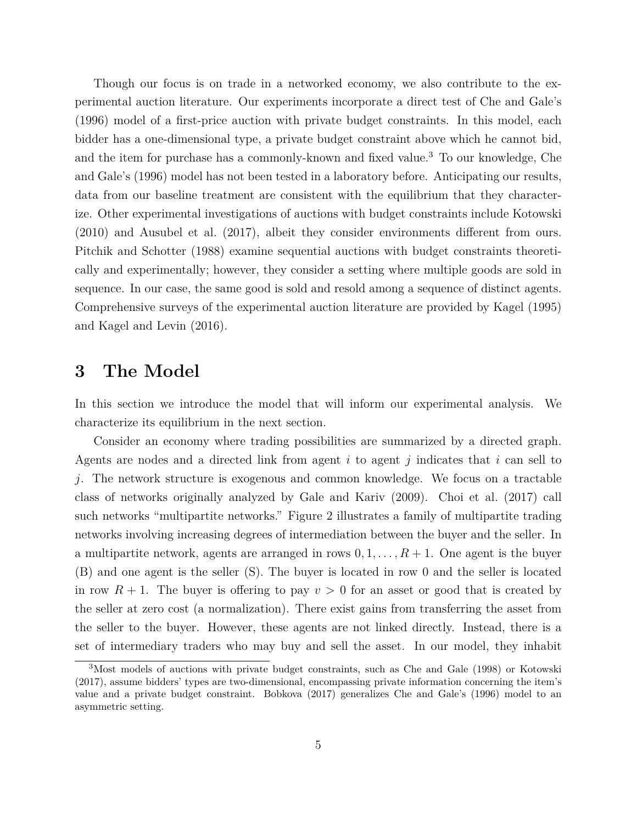Though our focus is on trade in a networked economy, we also contribute to the experimental auction literature. Our experiments incorporate a direct test of Che and Gale's (1996) model of a first-price auction with private budget constraints. In this model, each bidder has a one-dimensional type, a private budget constraint above which he cannot bid, and the item for purchase has a commonly-known and fixed value.<sup>3</sup> To our knowledge, Che and Gale's (1996) model has not been tested in a laboratory before. Anticipating our results, data from our baseline treatment are consistent with the equilibrium that they characterize. Other experimental investigations of auctions with budget constraints include Kotowski (2010) and Ausubel et al. (2017), albeit they consider environments different from ours. Pitchik and Schotter (1988) examine sequential auctions with budget constraints theoretically and experimentally; however, they consider a setting where multiple goods are sold in sequence. In our case, the same good is sold and resold among a sequence of distinct agents. Comprehensive surveys of the experimental auction literature are provided by Kagel (1995) and Kagel and Levin (2016).

#### **3 The Model**

In this section we introduce the model that will inform our experimental analysis. We characterize its equilibrium in the next section.

Consider an economy where trading possibilities are summarized by a directed graph. Agents are nodes and a directed link from agent *i* to agent *j* indicates that *i* can sell to *j*. The network structure is exogenous and common knowledge. We focus on a tractable class of networks originally analyzed by Gale and Kariv (2009). Choi et al. (2017) call such networks "multipartite networks." Figure 2 illustrates a family of multipartite trading networks involving increasing degrees of intermediation between the buyer and the seller. In a multipartite network, agents are arranged in rows  $0, 1, \ldots, R+1$ . One agent is the buyer (B) and one agent is the seller (S). The buyer is located in row 0 and the seller is located in row  $R + 1$ . The buyer is offering to pay  $v > 0$  for an asset or good that is created by the seller at zero cost (a normalization). There exist gains from transferring the asset from the seller to the buyer. However, these agents are not linked directly. Instead, there is a set of intermediary traders who may buy and sell the asset. In our model, they inhabit

<sup>3</sup>Most models of auctions with private budget constraints, such as Che and Gale (1998) or Kotowski (2017), assume bidders' types are two-dimensional, encompassing private information concerning the item's value and a private budget constraint. Bobkova (2017) generalizes Che and Gale's (1996) model to an asymmetric setting.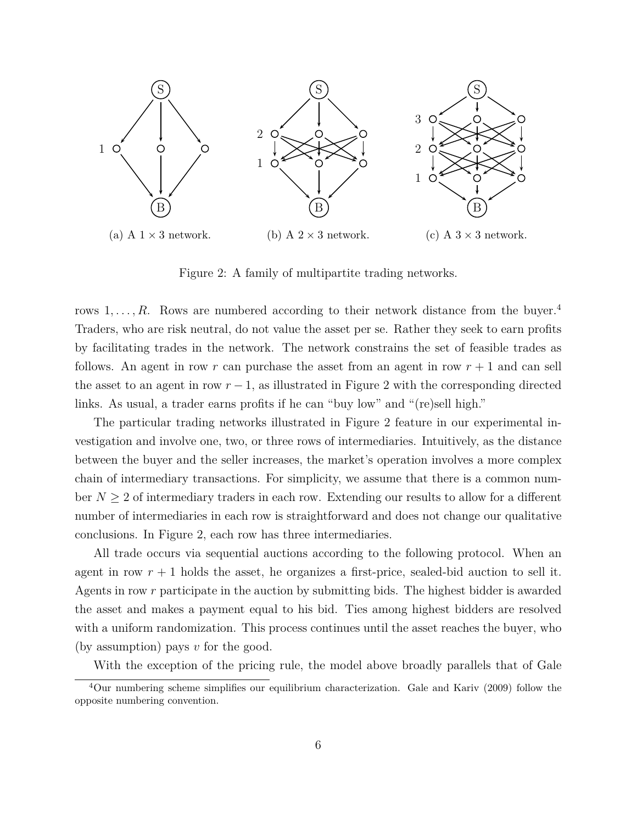

Figure 2: A family of multipartite trading networks.

rows  $1, \ldots, R$ . Rows are numbered according to their network distance from the buyer.<sup>4</sup> Traders, who are risk neutral, do not value the asset per se. Rather they seek to earn profits by facilitating trades in the network. The network constrains the set of feasible trades as follows. An agent in row r can purchase the asset from an agent in row  $r + 1$  and can sell the asset to an agent in row  $r - 1$ , as illustrated in Figure 2 with the corresponding directed links. As usual, a trader earns profits if he can "buy low" and "(re)sell high."

The particular trading networks illustrated in Figure 2 feature in our experimental investigation and involve one, two, or three rows of intermediaries. Intuitively, as the distance between the buyer and the seller increases, the market's operation involves a more complex chain of intermediary transactions. For simplicity, we assume that there is a common number  $N \geq 2$  of intermediary traders in each row. Extending our results to allow for a different number of intermediaries in each row is straightforward and does not change our qualitative conclusions. In Figure 2, each row has three intermediaries.

All trade occurs via sequential auctions according to the following protocol. When an agent in row  $r + 1$  holds the asset, he organizes a first-price, sealed-bid auction to sell it. Agents in row *r* participate in the auction by submitting bids. The highest bidder is awarded the asset and makes a payment equal to his bid. Ties among highest bidders are resolved with a uniform randomization. This process continues until the asset reaches the buyer, who (by assumption) pays *v* for the good.

With the exception of the pricing rule, the model above broadly parallels that of Gale

 $4$ Our numbering scheme simplifies our equilibrium characterization. Gale and Kariv (2009) follow the opposite numbering convention.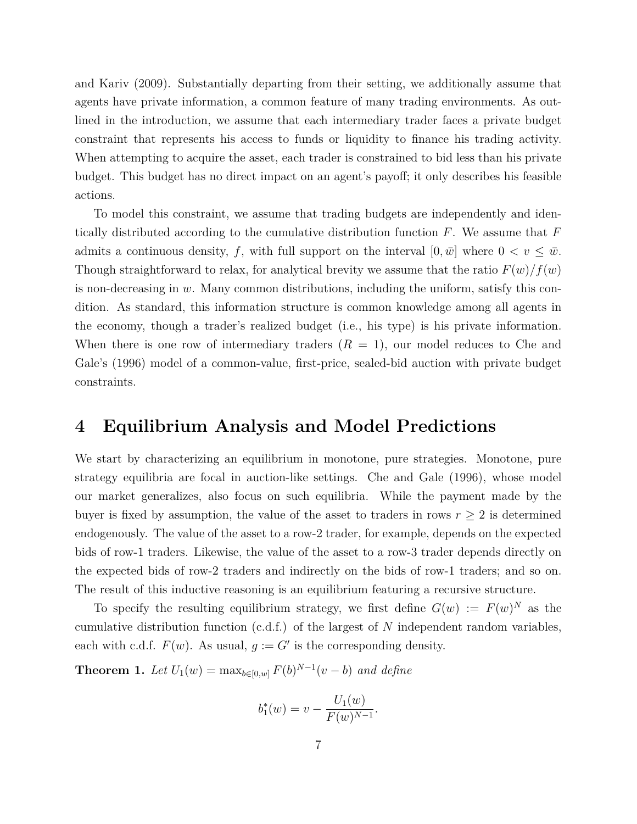and Kariv (2009). Substantially departing from their setting, we additionally assume that agents have private information, a common feature of many trading environments. As outlined in the introduction, we assume that each intermediary trader faces a private budget constraint that represents his access to funds or liquidity to finance his trading activity. When attempting to acquire the asset, each trader is constrained to bid less than his private budget. This budget has no direct impact on an agent's payoff; it only describes his feasible actions.

To model this constraint, we assume that trading budgets are independently and identically distributed according to the cumulative distribution function *F*. We assume that *F* admits a continuous density, *f*, with full support on the interval  $[0, \bar{w}]$  where  $0 < v \leq \bar{w}$ . Though straightforward to relax, for analytical brevity we assume that the ratio  $F(w)/f(w)$ is non-decreasing in *w*. Many common distributions, including the uniform, satisfy this condition. As standard, this information structure is common knowledge among all agents in the economy, though a trader's realized budget (i.e., his type) is his private information. When there is one row of intermediary traders  $(R = 1)$ , our model reduces to Che and Gale's (1996) model of a common-value, first-price, sealed-bid auction with private budget constraints.

### **4 Equilibrium Analysis and Model Predictions**

We start by characterizing an equilibrium in monotone, pure strategies. Monotone, pure strategy equilibria are focal in auction-like settings. Che and Gale (1996), whose model our market generalizes, also focus on such equilibria. While the payment made by the buyer is fixed by assumption, the value of the asset to traders in rows  $r \geq 2$  is determined endogenously. The value of the asset to a row-2 trader, for example, depends on the expected bids of row-1 traders. Likewise, the value of the asset to a row-3 trader depends directly on the expected bids of row-2 traders and indirectly on the bids of row-1 traders; and so on. The result of this inductive reasoning is an equilibrium featuring a recursive structure.

To specify the resulting equilibrium strategy, we first define  $G(w) := F(w)^N$  as the cumulative distribution function (c.d.f.) of the largest of *N* independent random variables, each with c.d.f.  $F(w)$ . As usual,  $g := G'$  is the corresponding density.

**Theorem 1.** *Let*  $U_1(w) = \max_{b \in [0,w]} F(b)^{N-1}(v-b)$  *and define* 

$$
b_1^*(w) = v - \frac{U_1(w)}{F(w)^{N-1}}.
$$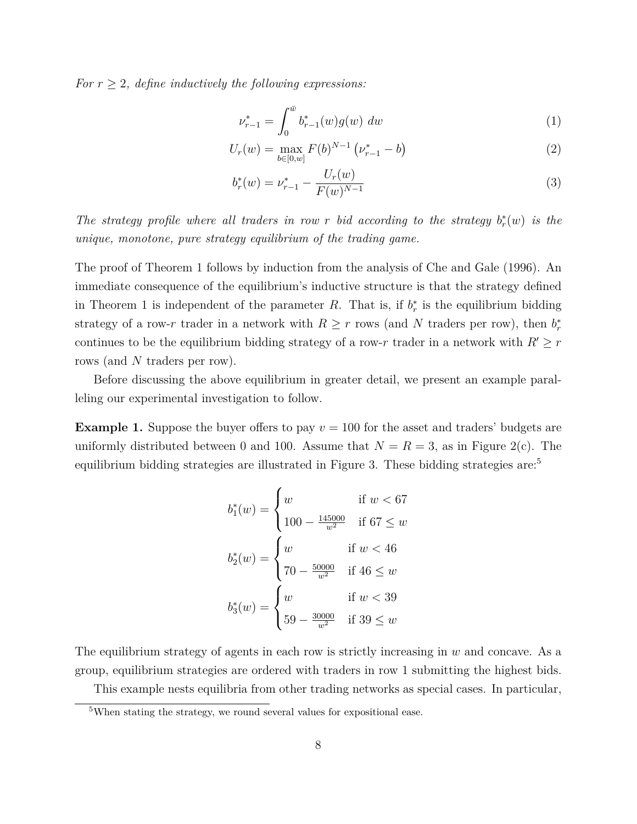*For*  $r \geq 2$ *, define inductively the following expressions:* 

$$
\nu_{r-1}^* = \int_0^{\bar{w}} b_{r-1}^*(w) g(w) \ dw \tag{1}
$$

$$
U_r(w) = \max_{b \in [0,w]} F(b)^{N-1} \left( \nu_{r-1}^* - b \right) \tag{2}
$$

$$
b_r^*(w) = \nu_{r-1}^* - \frac{U_r(w)}{F(w)^{N-1}}
$$
\n(3)

*The strategy profile where all traders in row <i>r bid according to the strategy*  $b_r^*(w)$  *is the unique, monotone, pure strategy equilibrium of the trading game.*

The proof of Theorem 1 follows by induction from the analysis of Che and Gale (1996). An immediate consequence of the equilibrium's inductive structure is that the strategy defined in Theorem 1 is independent of the parameter *R*. That is, if  $b_r^*$  is the equilibrium bidding strategy of a row-*r* trader in a network with  $R \ge r$  rows (and *N* traders per row), then  $b_r^*$ continues to be the equilibrium bidding strategy of a row-*r* trader in a network with  $R' \geq r$ rows (and *N* traders per row).

Before discussing the above equilibrium in greater detail, we present an example paralleling our experimental investigation to follow.

**Example 1.** Suppose the buyer offers to pay  $v = 100$  for the asset and traders' budgets are uniformly distributed between 0 and 100. Assume that  $N = R = 3$ , as in Figure 2(c). The equilibrium bidding strategies are illustrated in Figure 3. These bidding strategies are:<sup>5</sup>

$$
b_1^*(w) = \begin{cases} w & \text{if } w < 67 \\ 100 - \frac{145000}{w^2} & \text{if } 67 \le w \end{cases}
$$

$$
b_2^*(w) = \begin{cases} w & \text{if } w < 46 \\ 70 - \frac{50000}{w^2} & \text{if } 46 \le w \end{cases}
$$

$$
b_3^*(w) = \begin{cases} w & \text{if } w < 39 \\ 59 - \frac{30000}{w^2} & \text{if } 39 \le w \end{cases}
$$

The equilibrium strategy of agents in each row is strictly increasing in *w* and concave. As a group, equilibrium strategies are ordered with traders in row 1 submitting the highest bids.

This example nests equilibria from other trading networks as special cases. In particular,

<sup>&</sup>lt;sup>5</sup>When stating the strategy, we round several values for expositional ease.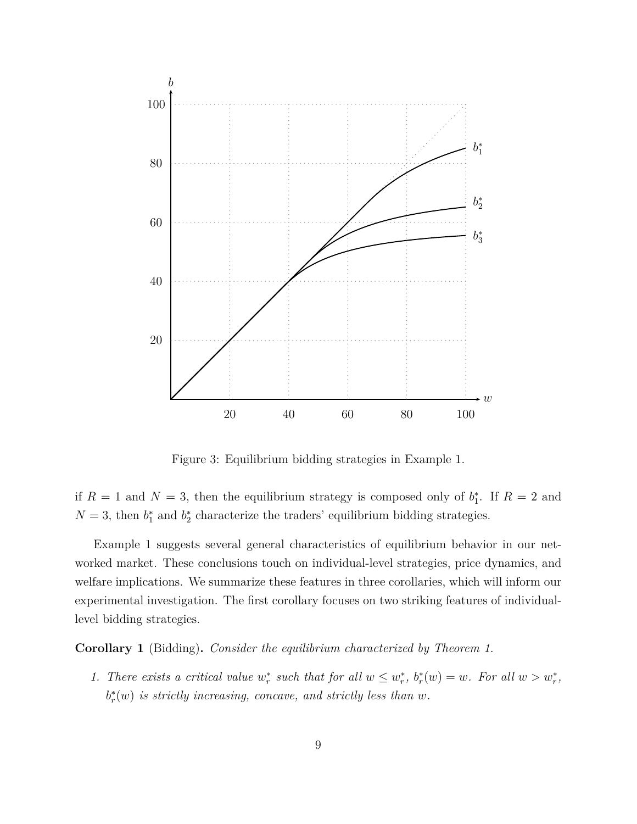

Figure 3: Equilibrium bidding strategies in Example 1.

if  $R = 1$  and  $N = 3$ , then the equilibrium strategy is composed only of  $b_1^*$ . If  $R = 2$  and  $N = 3$ , then  $b_1^*$  and  $b_2^*$  characterize the traders' equilibrium bidding strategies.

Example 1 suggests several general characteristics of equilibrium behavior in our networked market. These conclusions touch on individual-level strategies, price dynamics, and welfare implications. We summarize these features in three corollaries, which will inform our experimental investigation. The first corollary focuses on two striking features of individuallevel bidding strategies.

**Corollary 1** (Bidding)**.** *Consider the equilibrium characterized by Theorem 1.*

1. There exists a critical value  $w_r^*$  such that for all  $w \leq w_r^*$ ,  $b_r^*(w) = w$ . For all  $w > w_r^*$ , *b ∗ r* (*w*) *is strictly increasing, concave, and strictly less than w.*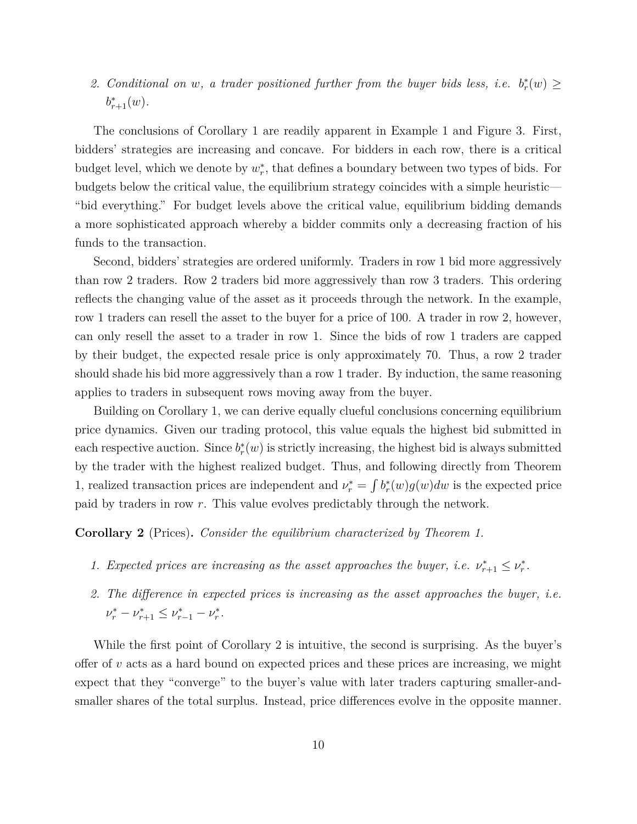2. *Conditional on w*, a trader positioned further from the buyer bids less, i.e.  $b_r^*(w) \geq$  $b_{r+1}^*(w)$ .

The conclusions of Corollary 1 are readily apparent in Example 1 and Figure 3. First, bidders' strategies are increasing and concave. For bidders in each row, there is a critical budget level, which we denote by  $w_r^*$ , that defines a boundary between two types of bids. For budgets below the critical value, the equilibrium strategy coincides with a simple heuristic— "bid everything." For budget levels above the critical value, equilibrium bidding demands a more sophisticated approach whereby a bidder commits only a decreasing fraction of his funds to the transaction.

Second, bidders' strategies are ordered uniformly. Traders in row 1 bid more aggressively than row 2 traders. Row 2 traders bid more aggressively than row 3 traders. This ordering reflects the changing value of the asset as it proceeds through the network. In the example, row 1 traders can resell the asset to the buyer for a price of 100. A trader in row 2, however, can only resell the asset to a trader in row 1. Since the bids of row 1 traders are capped by their budget, the expected resale price is only approximately 70. Thus, a row 2 trader should shade his bid more aggressively than a row 1 trader. By induction, the same reasoning applies to traders in subsequent rows moving away from the buyer.

Building on Corollary 1, we can derive equally clueful conclusions concerning equilibrium price dynamics. Given our trading protocol, this value equals the highest bid submitted in each respective auction. Since  $b_r^*(w)$  is strictly increasing, the highest bid is always submitted by the trader with the highest realized budget. Thus, and following directly from Theorem 1, realized transaction prices are independent and  $\nu_r^* = \int b_r^*(w)g(w)dw$  is the expected price paid by traders in row *r*. This value evolves predictably through the network.

**Corollary 2** (Prices)**.** *Consider the equilibrium characterized by Theorem 1.*

- *1. Expected prices are increasing as the asset approaches the buyer, i.e.*  $\nu_{r+1}^* \leq \nu_r^*$ .
- *2. The difference in expected prices is increasing as the asset approaches the buyer, i.e.*  $\nu_r^* - \nu_{r+1}^* \leq \nu_{r-1}^* - \nu_r^*$ .

While the first point of Corollary 2 is intuitive, the second is surprising. As the buyer's offer of *v* acts as a hard bound on expected prices and these prices are increasing, we might expect that they "converge" to the buyer's value with later traders capturing smaller-andsmaller shares of the total surplus. Instead, price differences evolve in the opposite manner.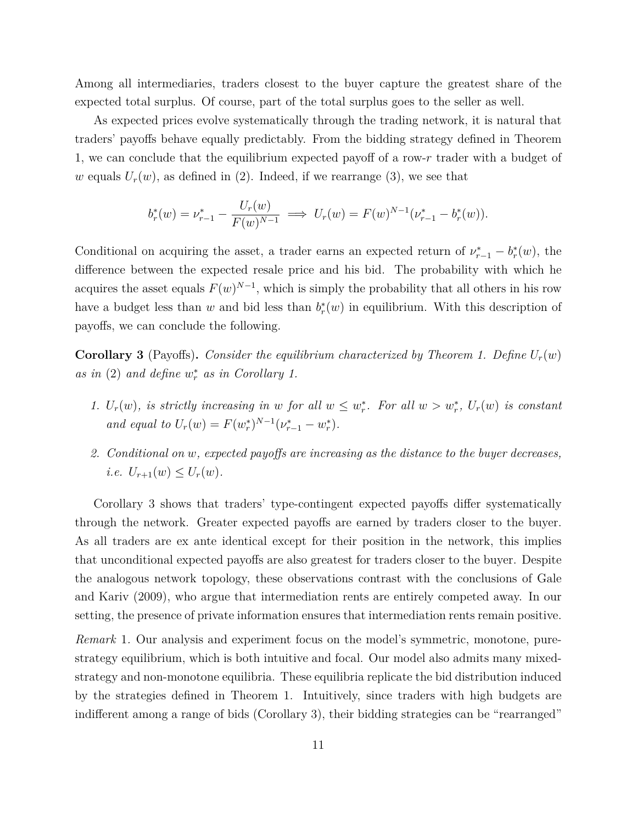Among all intermediaries, traders closest to the buyer capture the greatest share of the expected total surplus. Of course, part of the total surplus goes to the seller as well.

As expected prices evolve systematically through the trading network, it is natural that traders' payoffs behave equally predictably. From the bidding strategy defined in Theorem 1, we can conclude that the equilibrium expected payoff of a row-*r* trader with a budget of *w* equals  $U_r(w)$ , as defined in (2). Indeed, if we rearrange (3), we see that

$$
b_r^*(w) = \nu_{r-1}^* - \frac{U_r(w)}{F(w)^{N-1}} \implies U_r(w) = F(w)^{N-1}(\nu_{r-1}^* - b_r^*(w)).
$$

Conditional on acquiring the asset, a trader earns an expected return of  $\nu_{r-1}^* - b_r^*(w)$ , the difference between the expected resale price and his bid. The probability with which he acquires the asset equals  $F(w)^{N-1}$ , which is simply the probability that all others in his row have a budget less than *w* and bid less than  $b_r^*(w)$  in equilibrium. With this description of payoffs, we can conclude the following.

**Corollary 3** (Payoffs). *Consider the equilibrium characterized by Theorem 1. Define*  $U_r(w)$ *as in* (2) *and define*  $w_r^*$  *as in Corollary 1.* 

- 1.  $U_r(w)$ , is strictly increasing in w for all  $w \leq w_r^*$ . For all  $w > w_r^*$ ,  $U_r(w)$  is constant *and equal to*  $U_r(w) = F(w_r^*)^{N-1}(v_{r-1}^* - w_r^*).$
- *2. Conditional on w, expected payoffs are increasing as the distance to the buyer decreases, i.e.*  $U_{r+1}(w) \leq U_r(w)$ .

Corollary 3 shows that traders' type-contingent expected payoffs differ systematically through the network. Greater expected payoffs are earned by traders closer to the buyer. As all traders are ex ante identical except for their position in the network, this implies that unconditional expected payoffs are also greatest for traders closer to the buyer. Despite the analogous network topology, these observations contrast with the conclusions of Gale and Kariv (2009), who argue that intermediation rents are entirely competed away. In our setting, the presence of private information ensures that intermediation rents remain positive.

*Remark* 1*.* Our analysis and experiment focus on the model's symmetric, monotone, purestrategy equilibrium, which is both intuitive and focal. Our model also admits many mixedstrategy and non-monotone equilibria. These equilibria replicate the bid distribution induced by the strategies defined in Theorem 1. Intuitively, since traders with high budgets are indifferent among a range of bids (Corollary 3), their bidding strategies can be "rearranged"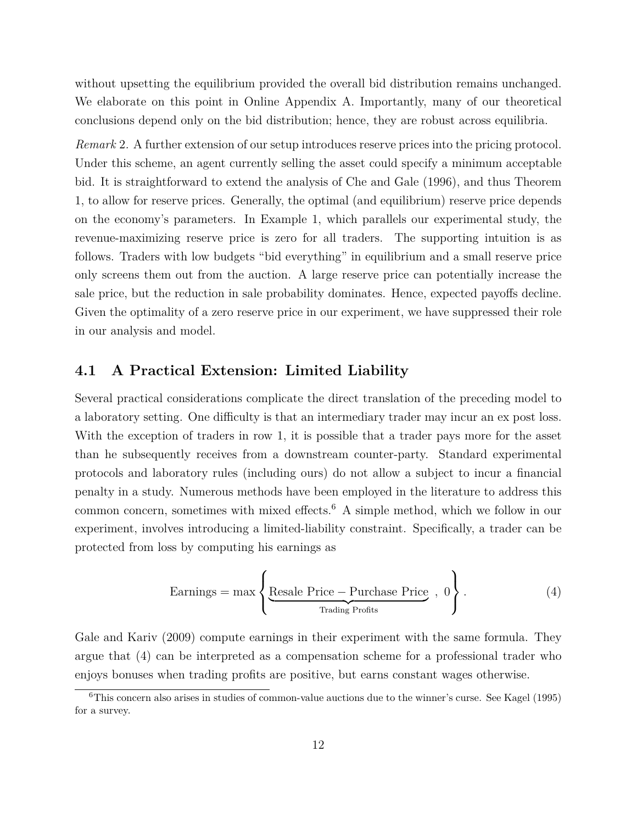without upsetting the equilibrium provided the overall bid distribution remains unchanged. We elaborate on this point in Online Appendix A. Importantly, many of our theoretical conclusions depend only on the bid distribution; hence, they are robust across equilibria.

*Remark* 2*.* A further extension of our setup introduces reserve prices into the pricing protocol. Under this scheme, an agent currently selling the asset could specify a minimum acceptable bid. It is straightforward to extend the analysis of Che and Gale (1996), and thus Theorem 1, to allow for reserve prices. Generally, the optimal (and equilibrium) reserve price depends on the economy's parameters. In Example 1, which parallels our experimental study, the revenue-maximizing reserve price is zero for all traders. The supporting intuition is as follows. Traders with low budgets "bid everything" in equilibrium and a small reserve price only screens them out from the auction. A large reserve price can potentially increase the sale price, but the reduction in sale probability dominates. Hence, expected payoffs decline. Given the optimality of a zero reserve price in our experiment, we have suppressed their role in our analysis and model.

#### **4.1 A Practical Extension: Limited Liability**

Several practical considerations complicate the direct translation of the preceding model to a laboratory setting. One difficulty is that an intermediary trader may incur an ex post loss. With the exception of traders in row 1, it is possible that a trader pays more for the asset than he subsequently receives from a downstream counter-party. Standard experimental protocols and laboratory rules (including ours) do not allow a subject to incur a financial penalty in a study. Numerous methods have been employed in the literature to address this common concern, sometimes with mixed effects.<sup>6</sup> A simple method, which we follow in our experiment, involves introducing a limited-liability constraint. Specifically, a trader can be protected from loss by computing his earnings as

$$
Earnings = max \left\{ \underbrace{\text{Resale Price} - \text{Purchase Price}}_{\text{Trading Profits}}, 0 \right\}.
$$
 (4)

Gale and Kariv (2009) compute earnings in their experiment with the same formula. They argue that (4) can be interpreted as a compensation scheme for a professional trader who enjoys bonuses when trading profits are positive, but earns constant wages otherwise.

<sup>6</sup>This concern also arises in studies of common-value auctions due to the winner's curse. See Kagel (1995) for a survey.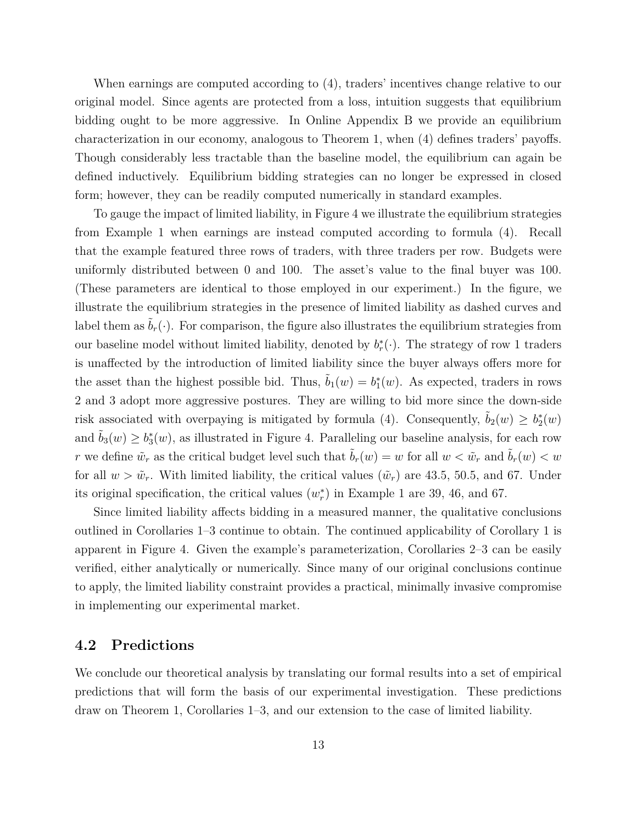When earnings are computed according to (4), traders' incentives change relative to our original model. Since agents are protected from a loss, intuition suggests that equilibrium bidding ought to be more aggressive. In Online Appendix B we provide an equilibrium characterization in our economy, analogous to Theorem 1, when (4) defines traders' payoffs. Though considerably less tractable than the baseline model, the equilibrium can again be defined inductively. Equilibrium bidding strategies can no longer be expressed in closed form; however, they can be readily computed numerically in standard examples.

To gauge the impact of limited liability, in Figure 4 we illustrate the equilibrium strategies from Example 1 when earnings are instead computed according to formula (4). Recall that the example featured three rows of traders, with three traders per row. Budgets were uniformly distributed between 0 and 100. The asset's value to the final buyer was 100. (These parameters are identical to those employed in our experiment.) In the figure, we illustrate the equilibrium strategies in the presence of limited liability as dashed curves and label them as  $b_r(\cdot)$ . For comparison, the figure also illustrates the equilibrium strategies from our baseline model without limited liability, denoted by  $b_r^*(\cdot)$ . The strategy of row 1 traders is unaffected by the introduction of limited liability since the buyer always offers more for the asset than the highest possible bid. Thus,  $\tilde{b}_1(w) = b_1^*(w)$ . As expected, traders in rows 2 and 3 adopt more aggressive postures. They are willing to bid more since the down-side risk associated with overpaying is mitigated by formula (4). Consequently,  $\tilde{b}_2(w) \geq b_2^*(w)$ and  $\tilde{b}_3(w) \geq b_3^*(w)$ , as illustrated in Figure 4. Paralleling our baseline analysis, for each row *r* we define  $\tilde{w}_r$  as the critical budget level such that  $\tilde{b}_r(w) = w$  for all  $w < \tilde{w}_r$  and  $\tilde{b}_r(w) < w$ for all  $w > \tilde{w}_r$ . With limited liability, the critical values  $(\tilde{w}_r)$  are 43.5, 50.5, and 67. Under its original specification, the critical values  $(w<sub>r</sub><sup>*</sup>)$  in Example 1 are 39, 46, and 67.

Since limited liability affects bidding in a measured manner, the qualitative conclusions outlined in Corollaries 1–3 continue to obtain. The continued applicability of Corollary 1 is apparent in Figure 4. Given the example's parameterization, Corollaries 2–3 can be easily verified, either analytically or numerically. Since many of our original conclusions continue to apply, the limited liability constraint provides a practical, minimally invasive compromise in implementing our experimental market.

#### **4.2 Predictions**

We conclude our theoretical analysis by translating our formal results into a set of empirical predictions that will form the basis of our experimental investigation. These predictions draw on Theorem 1, Corollaries 1–3, and our extension to the case of limited liability.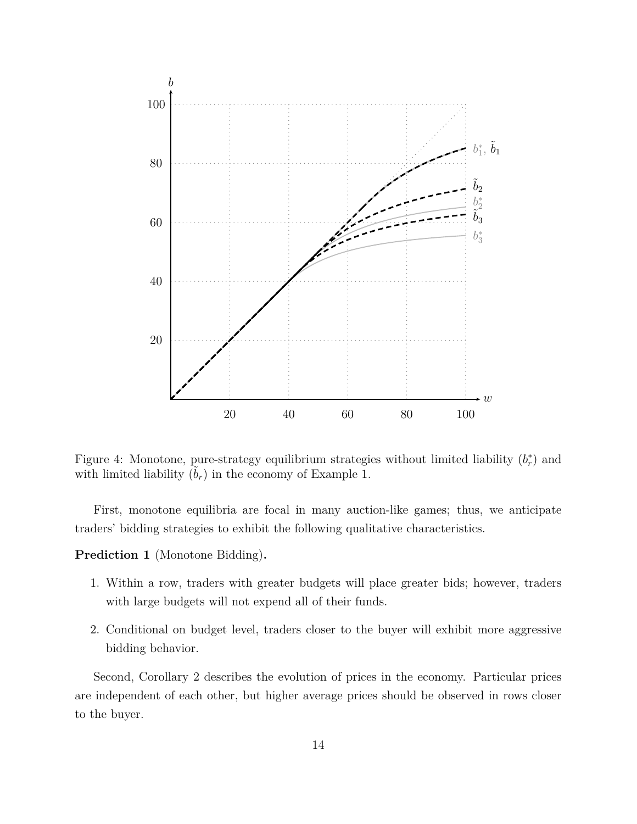

Figure 4: Monotone, pure-strategy equilibrium strategies without limited liability (*b ∗ r* ) and with limited liability  $(b_r)$  in the economy of Example 1.

First, monotone equilibria are focal in many auction-like games; thus, we anticipate traders' bidding strategies to exhibit the following qualitative characteristics.

**Prediction 1** (Monotone Bidding)**.**

- 1. Within a row, traders with greater budgets will place greater bids; however, traders with large budgets will not expend all of their funds.
- 2. Conditional on budget level, traders closer to the buyer will exhibit more aggressive bidding behavior.

Second, Corollary 2 describes the evolution of prices in the economy. Particular prices are independent of each other, but higher average prices should be observed in rows closer to the buyer.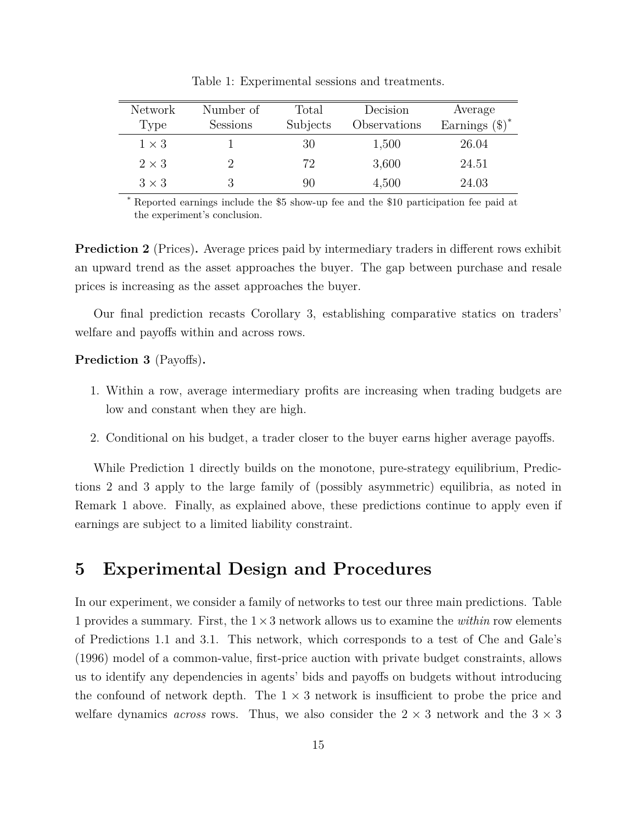| <b>Network</b> | Number of       | Total    | Decision     | Average                  |
|----------------|-----------------|----------|--------------|--------------------------|
| Type           | <b>Sessions</b> | Subjects | Observations | Earnings $(\text{\$})^*$ |
| $1 \times 3$   |                 | 30       | 1,500        | 26.04                    |
| $2 \times 3$   |                 | 72       | 3,600        | 24.51                    |
| $3 \times 3$   |                 | 90       | 4,500        | 24.03                    |

Table 1: Experimental sessions and treatments.

Reported earnings include the \$5 show-up fee and the \$10 participation fee paid at the experiment's conclusion.

**Prediction 2** (Prices). Average prices paid by intermediary traders in different rows exhibit an upward trend as the asset approaches the buyer. The gap between purchase and resale prices is increasing as the asset approaches the buyer.

Our final prediction recasts Corollary 3, establishing comparative statics on traders' welfare and payoffs within and across rows.

#### **Prediction 3** (Payoffs)**.**

- 1. Within a row, average intermediary profits are increasing when trading budgets are low and constant when they are high.
- 2. Conditional on his budget, a trader closer to the buyer earns higher average payoffs.

While Prediction 1 directly builds on the monotone, pure-strategy equilibrium, Predictions 2 and 3 apply to the large family of (possibly asymmetric) equilibria, as noted in Remark 1 above. Finally, as explained above, these predictions continue to apply even if earnings are subject to a limited liability constraint.

### **5 Experimental Design and Procedures**

In our experiment, we consider a family of networks to test our three main predictions. Table 1 provides a summary. First, the 1*×*3 network allows us to examine the *within* row elements of Predictions 1.1 and 3.1. This network, which corresponds to a test of Che and Gale's (1996) model of a common-value, first-price auction with private budget constraints, allows us to identify any dependencies in agents' bids and payoffs on budgets without introducing the confound of network depth. The  $1 \times 3$  network is insufficient to probe the price and welfare dynamics *across* rows. Thus, we also consider the  $2 \times 3$  network and the  $3 \times 3$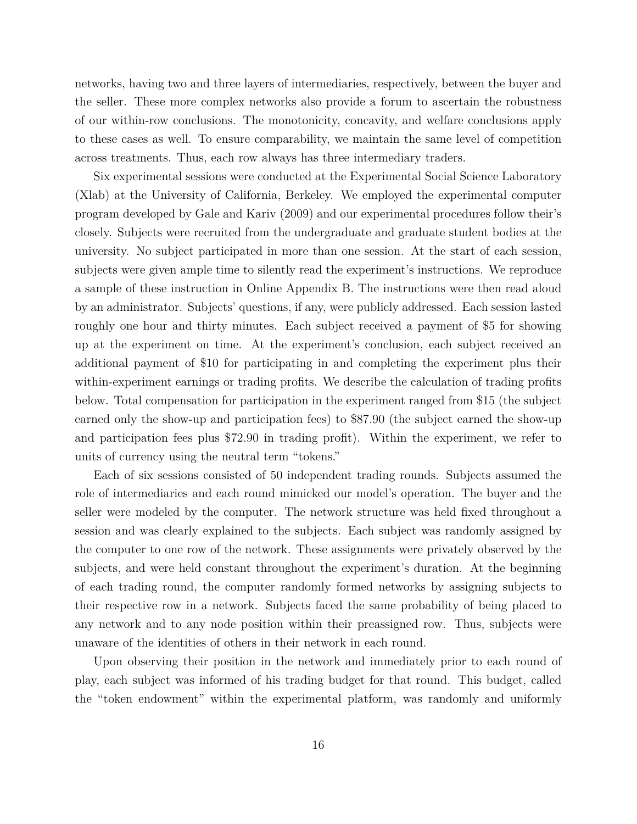networks, having two and three layers of intermediaries, respectively, between the buyer and the seller. These more complex networks also provide a forum to ascertain the robustness of our within-row conclusions. The monotonicity, concavity, and welfare conclusions apply to these cases as well. To ensure comparability, we maintain the same level of competition across treatments. Thus, each row always has three intermediary traders.

Six experimental sessions were conducted at the Experimental Social Science Laboratory (Xlab) at the University of California, Berkeley. We employed the experimental computer program developed by Gale and Kariv (2009) and our experimental procedures follow their's closely. Subjects were recruited from the undergraduate and graduate student bodies at the university. No subject participated in more than one session. At the start of each session, subjects were given ample time to silently read the experiment's instructions. We reproduce a sample of these instruction in Online Appendix B. The instructions were then read aloud by an administrator. Subjects' questions, if any, were publicly addressed. Each session lasted roughly one hour and thirty minutes. Each subject received a payment of \$5 for showing up at the experiment on time. At the experiment's conclusion, each subject received an additional payment of \$10 for participating in and completing the experiment plus their within-experiment earnings or trading profits. We describe the calculation of trading profits below. Total compensation for participation in the experiment ranged from \$15 (the subject earned only the show-up and participation fees) to \$87.90 (the subject earned the show-up and participation fees plus \$72.90 in trading profit). Within the experiment, we refer to units of currency using the neutral term "tokens."

Each of six sessions consisted of 50 independent trading rounds. Subjects assumed the role of intermediaries and each round mimicked our model's operation. The buyer and the seller were modeled by the computer. The network structure was held fixed throughout a session and was clearly explained to the subjects. Each subject was randomly assigned by the computer to one row of the network. These assignments were privately observed by the subjects, and were held constant throughout the experiment's duration. At the beginning of each trading round, the computer randomly formed networks by assigning subjects to their respective row in a network. Subjects faced the same probability of being placed to any network and to any node position within their preassigned row. Thus, subjects were unaware of the identities of others in their network in each round.

Upon observing their position in the network and immediately prior to each round of play, each subject was informed of his trading budget for that round. This budget, called the "token endowment" within the experimental platform, was randomly and uniformly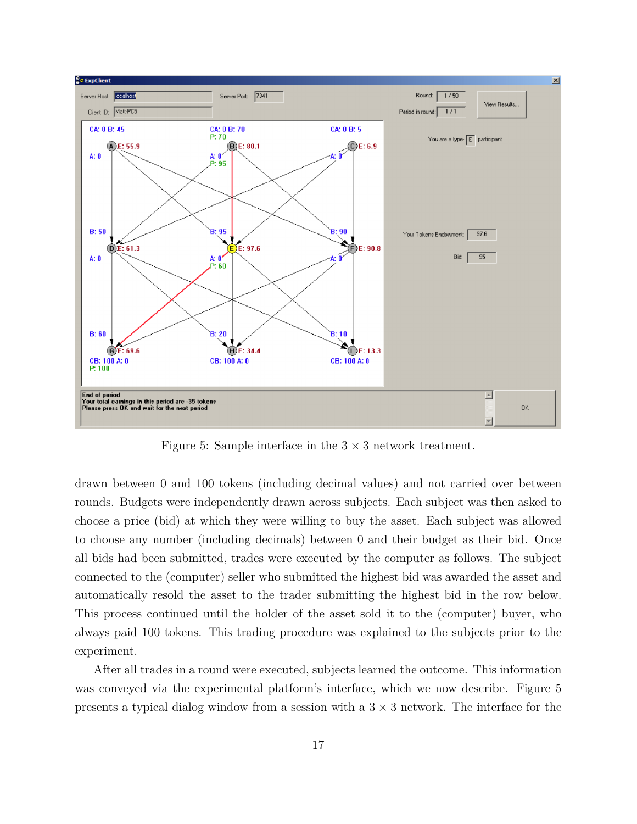

Figure 5: Sample interface in the  $3 \times 3$  network treatment.

drawn between 0 and 100 tokens (including decimal values) and not carried over between rounds. Budgets were independently drawn across subjects. Each subject was then asked to choose a price (bid) at which they were willing to buy the asset. Each subject was allowed to choose any number (including decimals) between 0 and their budget as their bid. Once all bids had been submitted, trades were executed by the computer as follows. The subject connected to the (computer) seller who submitted the highest bid was awarded the asset and automatically resold the asset to the trader submitting the highest bid in the row below. This process continued until the holder of the asset sold it to the (computer) buyer, who always paid 100 tokens. This trading procedure was explained to the subjects prior to the experiment.

After all trades in a round were executed, subjects learned the outcome. This information was conveyed via the experimental platform's interface, which we now describe. Figure 5 presents a typical dialog window from a session with a 3 *×* 3 network. The interface for the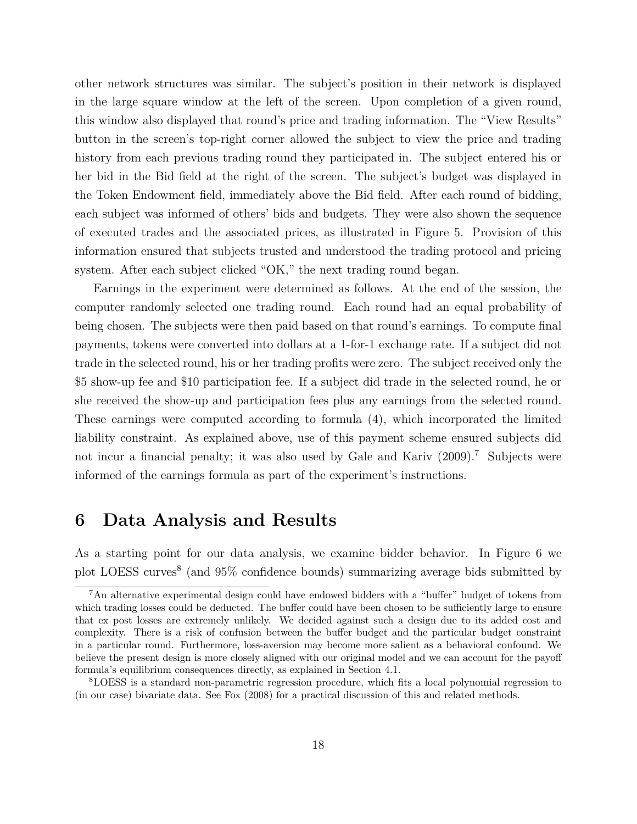other network structures was similar. The subject's position in their network is displayed in the large square window at the left of the screen. Upon completion of a given round, this window also displayed that round's price and trading information. The "View Results" button in the screen's top-right corner allowed the subject to view the price and trading history from each previous trading round they participated in. The subject entered his or her bid in the Bid field at the right of the screen. The subject's budget was displayed in the Token Endowment field, immediately above the Bid field. After each round of bidding, each subject was informed of others' bids and budgets. They were also shown the sequence of executed trades and the associated prices, as illustrated in Figure 5. Provision of this information ensured that subjects trusted and understood the trading protocol and pricing system. After each subject clicked "OK," the next trading round began.

Earnings in the experiment were determined as follows. At the end of the session, the computer randomly selected one trading round. Each round had an equal probability of being chosen. The subjects were then paid based on that round's earnings. To compute final payments, tokens were converted into dollars at a 1-for-1 exchange rate. If a subject did not trade in the selected round, his or her trading profits were zero. The subject received only the \$5 show-up fee and \$10 participation fee. If a subject did trade in the selected round, he or she received the show-up and participation fees plus any earnings from the selected round. These earnings were computed according to formula (4), which incorporated the limited liability constraint. As explained above, use of this payment scheme ensured subjects did not incur a financial penalty; it was also used by Gale and Kariv (2009).<sup>7</sup> Subjects were informed of the earnings formula as part of the experiment's instructions.

### **6 Data Analysis and Results**

As a starting point for our data analysis, we examine bidder behavior. In Figure 6 we plot LOESS curves<sup>8</sup> (and 95% confidence bounds) summarizing average bids submitted by

<sup>7</sup>An alternative experimental design could have endowed bidders with a "buffer" budget of tokens from which trading losses could be deducted. The buffer could have been chosen to be sufficiently large to ensure that ex post losses are extremely unlikely. We decided against such a design due to its added cost and complexity. There is a risk of confusion between the buffer budget and the particular budget constraint in a particular round. Furthermore, loss-aversion may become more salient as a behavioral confound. We believe the present design is more closely aligned with our original model and we can account for the payoff formula's equilibrium consequences directly, as explained in Section 4.1.

<sup>8</sup>LOESS is a standard non-parametric regression procedure, which fits a local polynomial regression to (in our case) bivariate data. See Fox (2008) for a practical discussion of this and related methods.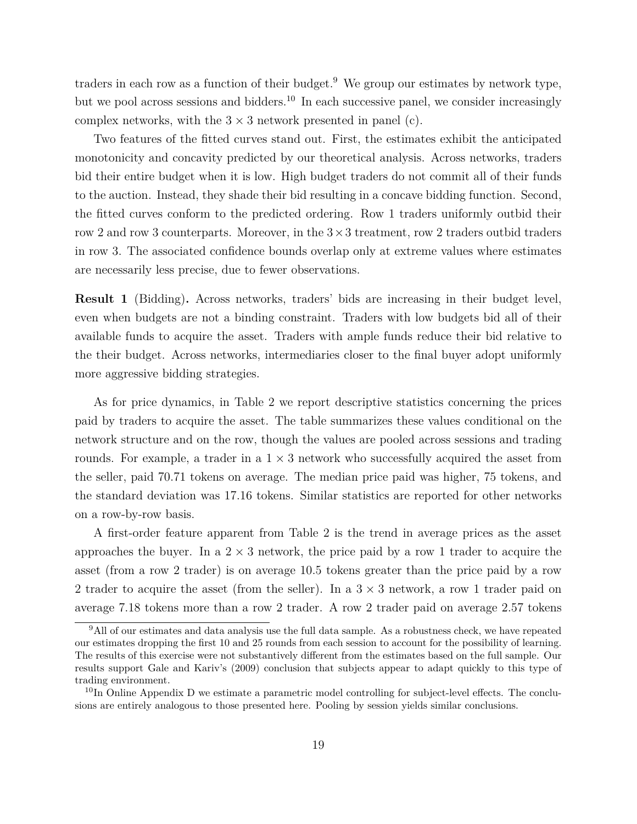traders in each row as a function of their budget.<sup>9</sup> We group our estimates by network type, but we pool across sessions and bidders.<sup>10</sup> In each successive panel, we consider increasingly complex networks, with the  $3 \times 3$  network presented in panel (c).

Two features of the fitted curves stand out. First, the estimates exhibit the anticipated monotonicity and concavity predicted by our theoretical analysis. Across networks, traders bid their entire budget when it is low. High budget traders do not commit all of their funds to the auction. Instead, they shade their bid resulting in a concave bidding function. Second, the fitted curves conform to the predicted ordering. Row 1 traders uniformly outbid their row 2 and row 3 counterparts. Moreover, in the 3*×*3 treatment, row 2 traders outbid traders in row 3. The associated confidence bounds overlap only at extreme values where estimates are necessarily less precise, due to fewer observations.

**Result 1** (Bidding)**.** Across networks, traders' bids are increasing in their budget level, even when budgets are not a binding constraint. Traders with low budgets bid all of their available funds to acquire the asset. Traders with ample funds reduce their bid relative to the their budget. Across networks, intermediaries closer to the final buyer adopt uniformly more aggressive bidding strategies.

As for price dynamics, in Table 2 we report descriptive statistics concerning the prices paid by traders to acquire the asset. The table summarizes these values conditional on the network structure and on the row, though the values are pooled across sessions and trading rounds. For example, a trader in a  $1 \times 3$  network who successfully acquired the asset from the seller, paid 70.71 tokens on average. The median price paid was higher, 75 tokens, and the standard deviation was 17.16 tokens. Similar statistics are reported for other networks on a row-by-row basis.

A first-order feature apparent from Table 2 is the trend in average prices as the asset approaches the buyer. In a  $2 \times 3$  network, the price paid by a row 1 trader to acquire the asset (from a row 2 trader) is on average 10.5 tokens greater than the price paid by a row 2 trader to acquire the asset (from the seller). In a  $3 \times 3$  network, a row 1 trader paid on average 7.18 tokens more than a row 2 trader. A row 2 trader paid on average 2.57 tokens

<sup>&</sup>lt;sup>9</sup>All of our estimates and data analysis use the full data sample. As a robustness check, we have repeated our estimates dropping the first 10 and 25 rounds from each session to account for the possibility of learning. The results of this exercise were not substantively different from the estimates based on the full sample. Our results support Gale and Kariv's (2009) conclusion that subjects appear to adapt quickly to this type of trading environment.

 $10$ In Online Appendix D we estimate a parametric model controlling for subject-level effects. The conclusions are entirely analogous to those presented here. Pooling by session yields similar conclusions.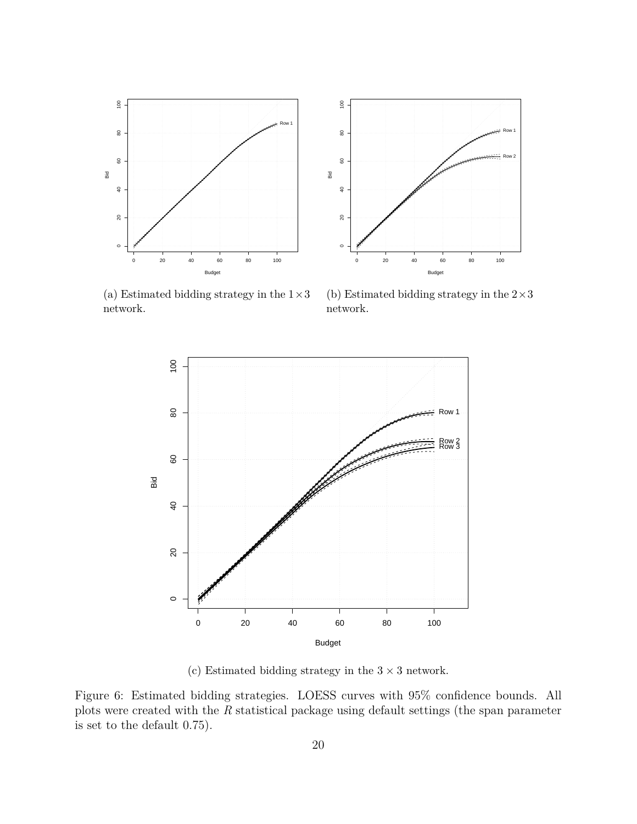



(a) Estimated bidding strategy in the 1*×*3 network.

(b) Estimated bidding strategy in the 2*×*3 network.



(c) Estimated bidding strategy in the 3 *×* 3 network.

Figure 6: Estimated bidding strategies. LOESS curves with 95% confidence bounds. All plots were created with the *R* statistical package using default settings (the span parameter is set to the default 0.75).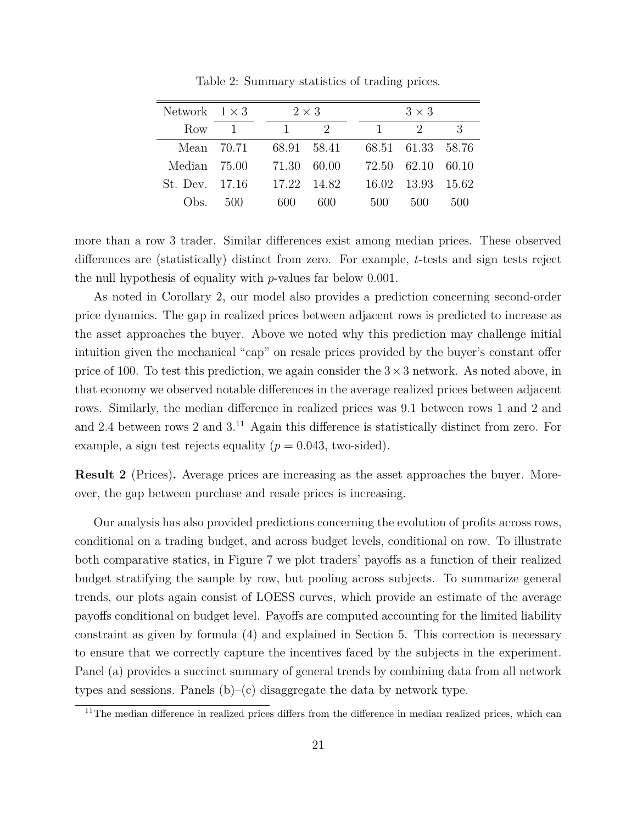| Network $1 \times 3$ |     |              | $2 \times 3$  |  | $3 \times 3$ |                   |     |
|----------------------|-----|--------------|---------------|--|--------------|-------------------|-----|
| Row                  |     | $\mathbf{1}$ | $\mathcal{L}$ |  | $\mathbf{1}$ | $\mathcal{L}$     | 3   |
| Mean 70.71           |     |              | 68.91 58.41   |  |              | 68.51 61.33 58.76 |     |
| Median 75.00         |     | 71.30        | 60.00         |  | 72.50        | 62.10 60.10       |     |
| St. Dev. 17.16       |     | 17.22        | - 14.82       |  |              | 16.02 13.93 15.62 |     |
| Obs.                 | 500 | 600          | 600           |  | 500          | 500               | 500 |

Table 2: Summary statistics of trading prices.

more than a row 3 trader. Similar differences exist among median prices. These observed differences are (statistically) distinct from zero. For example, *t*-tests and sign tests reject the null hypothesis of equality with *p*-values far below 0.001.

As noted in Corollary 2, our model also provides a prediction concerning second-order price dynamics. The gap in realized prices between adjacent rows is predicted to increase as the asset approaches the buyer. Above we noted why this prediction may challenge initial intuition given the mechanical "cap" on resale prices provided by the buyer's constant offer price of 100. To test this prediction, we again consider the 3*×*3 network. As noted above, in that economy we observed notable differences in the average realized prices between adjacent rows. Similarly, the median difference in realized prices was 9.1 between rows 1 and 2 and and 2.4 between rows 2 and  $3<sup>11</sup>$  Again this difference is statistically distinct from zero. For example, a sign test rejects equality  $(p = 0.043, \text{ two-sided}).$ 

**Result 2** (Prices). Average prices are increasing as the asset approaches the buyer. Moreover, the gap between purchase and resale prices is increasing.

Our analysis has also provided predictions concerning the evolution of profits across rows, conditional on a trading budget, and across budget levels, conditional on row. To illustrate both comparative statics, in Figure 7 we plot traders' payoffs as a function of their realized budget stratifying the sample by row, but pooling across subjects. To summarize general trends, our plots again consist of LOESS curves, which provide an estimate of the average payoffs conditional on budget level. Payoffs are computed accounting for the limited liability constraint as given by formula (4) and explained in Section 5. This correction is necessary to ensure that we correctly capture the incentives faced by the subjects in the experiment. Panel (a) provides a succinct summary of general trends by combining data from all network types and sessions. Panels  $(b)-(c)$  disaggregate the data by network type.

 $11$ The median difference in realized prices differs from the difference in median realized prices, which can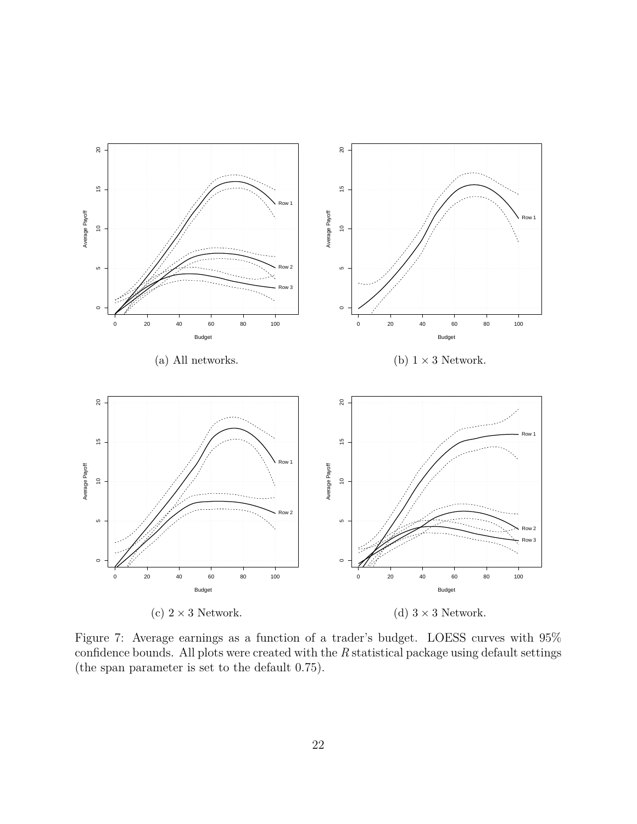

Figure 7: Average earnings as a function of a trader's budget. LOESS curves with 95% confidence bounds. All plots were created with the *R* statistical package using default settings (the span parameter is set to the default 0.75).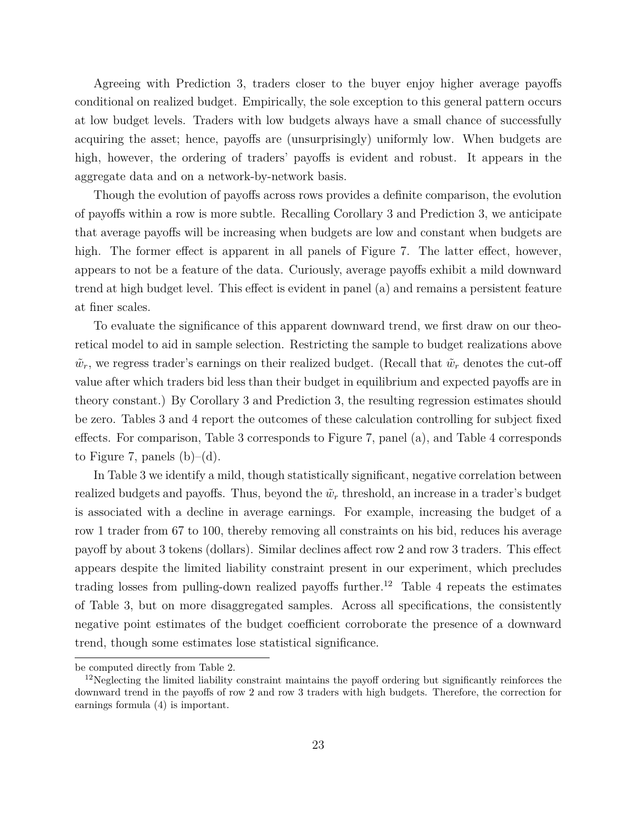Agreeing with Prediction 3, traders closer to the buyer enjoy higher average payoffs conditional on realized budget. Empirically, the sole exception to this general pattern occurs at low budget levels. Traders with low budgets always have a small chance of successfully acquiring the asset; hence, payoffs are (unsurprisingly) uniformly low. When budgets are high, however, the ordering of traders' payoffs is evident and robust. It appears in the aggregate data and on a network-by-network basis.

Though the evolution of payoffs across rows provides a definite comparison, the evolution of payoffs within a row is more subtle. Recalling Corollary 3 and Prediction 3, we anticipate that average payoffs will be increasing when budgets are low and constant when budgets are high. The former effect is apparent in all panels of Figure 7. The latter effect, however, appears to not be a feature of the data. Curiously, average payoffs exhibit a mild downward trend at high budget level. This effect is evident in panel (a) and remains a persistent feature at finer scales.

To evaluate the significance of this apparent downward trend, we first draw on our theoretical model to aid in sample selection. Restricting the sample to budget realizations above  $\tilde{w}_r$ , we regress trader's earnings on their realized budget. (Recall that  $\tilde{w}_r$  denotes the cut-off value after which traders bid less than their budget in equilibrium and expected payoffs are in theory constant.) By Corollary 3 and Prediction 3, the resulting regression estimates should be zero. Tables 3 and 4 report the outcomes of these calculation controlling for subject fixed effects. For comparison, Table 3 corresponds to Figure 7, panel (a), and Table 4 corresponds to Figure 7, panels  $(b)–(d)$ .

In Table 3 we identify a mild, though statistically significant, negative correlation between realized budgets and payoffs. Thus, beyond the  $\tilde{w}_r$  threshold, an increase in a trader's budget is associated with a decline in average earnings. For example, increasing the budget of a row 1 trader from 67 to 100, thereby removing all constraints on his bid, reduces his average payoff by about 3 tokens (dollars). Similar declines affect row 2 and row 3 traders. This effect appears despite the limited liability constraint present in our experiment, which precludes trading losses from pulling-down realized payoffs further.<sup>12</sup> Table 4 repeats the estimates of Table 3, but on more disaggregated samples. Across all specifications, the consistently negative point estimates of the budget coefficient corroborate the presence of a downward trend, though some estimates lose statistical significance.

be computed directly from Table 2.

 $12$ Neglecting the limited liability constraint maintains the payoff ordering but significantly reinforces the downward trend in the payoffs of row 2 and row 3 traders with high budgets. Therefore, the correction for earnings formula (4) is important.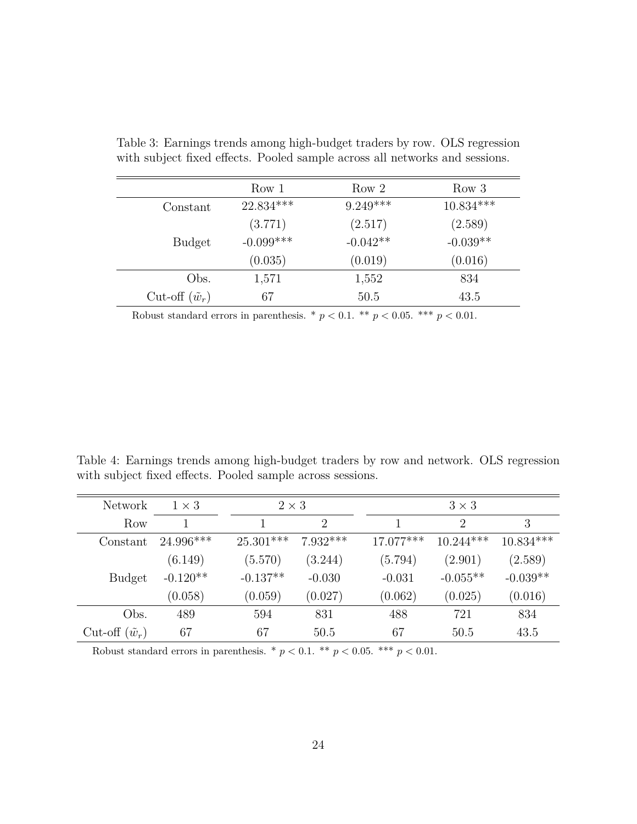| Row 1       | Row 2      | Row <sub>3</sub> |
|-------------|------------|------------------|
| $22.834***$ | $9.249***$ | $10.834***$      |
| (3.771)     | (2.517)    | (2.589)          |
| $-0.099***$ | $-0.042**$ | $-0.039**$       |
| (0.035)     | (0.019)    | (0.016)          |
| 1,571       | 1,552      | 834              |
| 67          | 50.5       | 43.5             |
|             |            |                  |

Table 3: Earnings trends among high-budget traders by row. OLS regression with subject fixed effects. Pooled sample across all networks and sessions.

Robust standard errors in parenthesis. \*  $p < 0.1$ . \*\*  $p < 0.05$ . \*\*\*  $p < 0.01$ .

Table 4: Earnings trends among high-budget traders by row and network. OLS regression with subject fixed effects. Pooled sample across sessions.

| Network                 | $1 \times 3$ |             | $2 \times 3$   |  | $3 \times 3$ |                |             |
|-------------------------|--------------|-------------|----------------|--|--------------|----------------|-------------|
| Row                     |              |             | $\overline{2}$ |  |              | $\overline{2}$ | 3           |
| Constant                | 24.996***    | $25.301***$ | $7.932***$     |  | $17.077***$  | $10.244***$    | $10.834***$ |
|                         | (6.149)      | (5.570)     | (3.244)        |  | (5.794)      | (2.901)        | (2.589)     |
| <b>Budget</b>           | $-0.120**$   | $-0.137**$  | $-0.030$       |  | $-0.031$     | $-0.055**$     | $-0.039**$  |
|                         | (0.058)      | (0.059)     | (0.027)        |  | (0.062)      | (0.025)        | (0.016)     |
| Obs.                    | 489          | 594         | 831            |  | 488          | 721            | 834         |
| Cut-off $(\tilde{w}_r)$ | 67           | 67          | 50.5           |  | 67           | 50.5           | 43.5        |

Robust standard errors in parenthesis. \*  $p < 0.1$ . \*\*  $p < 0.05$ . \*\*\*  $p < 0.01$ .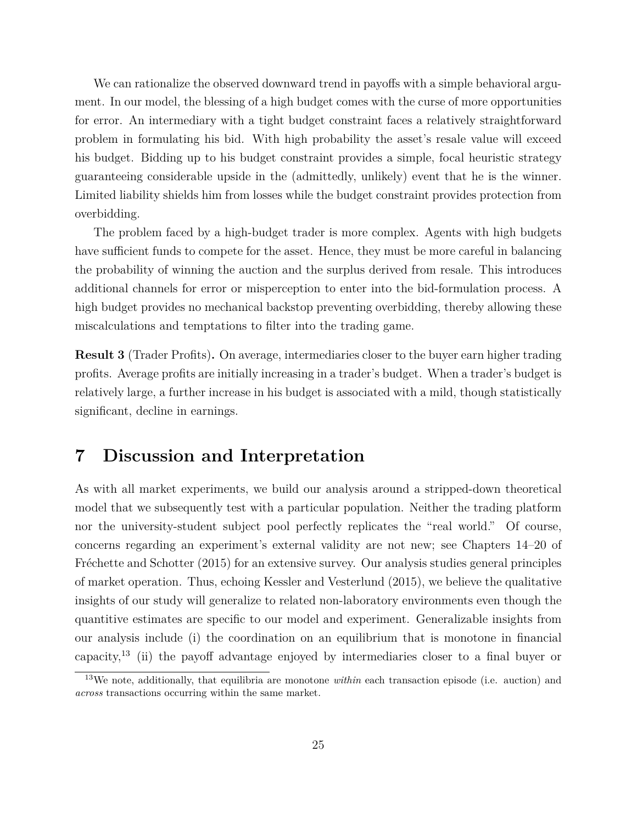We can rationalize the observed downward trend in payoffs with a simple behavioral argument. In our model, the blessing of a high budget comes with the curse of more opportunities for error. An intermediary with a tight budget constraint faces a relatively straightforward problem in formulating his bid. With high probability the asset's resale value will exceed his budget. Bidding up to his budget constraint provides a simple, focal heuristic strategy guaranteeing considerable upside in the (admittedly, unlikely) event that he is the winner. Limited liability shields him from losses while the budget constraint provides protection from overbidding.

The problem faced by a high-budget trader is more complex. Agents with high budgets have sufficient funds to compete for the asset. Hence, they must be more careful in balancing the probability of winning the auction and the surplus derived from resale. This introduces additional channels for error or misperception to enter into the bid-formulation process. A high budget provides no mechanical backstop preventing overbidding, thereby allowing these miscalculations and temptations to filter into the trading game.

**Result 3** (Trader Profits)**.** On average, intermediaries closer to the buyer earn higher trading profits. Average profits are initially increasing in a trader's budget. When a trader's budget is relatively large, a further increase in his budget is associated with a mild, though statistically significant, decline in earnings.

## **7 Discussion and Interpretation**

As with all market experiments, we build our analysis around a stripped-down theoretical model that we subsequently test with a particular population. Neither the trading platform nor the university-student subject pool perfectly replicates the "real world." Of course, concerns regarding an experiment's external validity are not new; see Chapters 14–20 of Fréchette and Schotter (2015) for an extensive survey. Our analysis studies general principles of market operation. Thus, echoing Kessler and Vesterlund (2015), we believe the qualitative insights of our study will generalize to related non-laboratory environments even though the quantitive estimates are specific to our model and experiment. Generalizable insights from our analysis include (i) the coordination on an equilibrium that is monotone in financial capacity,<sup>13</sup> (ii) the payoff advantage enjoyed by intermediaries closer to a final buyer or

<sup>13</sup>We note, additionally, that equilibria are monotone *within* each transaction episode (i.e. auction) and *across* transactions occurring within the same market.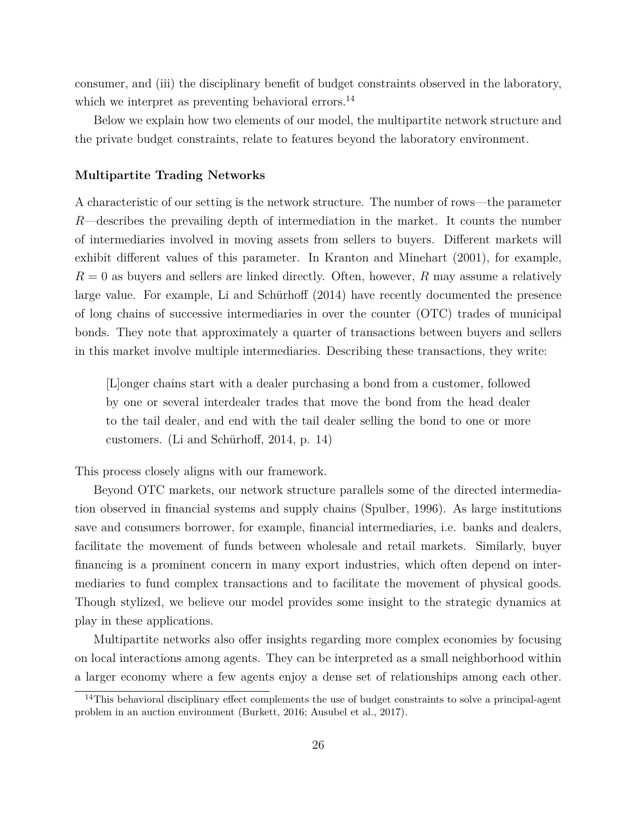consumer, and (iii) the disciplinary benefit of budget constraints observed in the laboratory, which we interpret as preventing behavioral errors.<sup>14</sup>

Below we explain how two elements of our model, the multipartite network structure and the private budget constraints, relate to features beyond the laboratory environment.

#### **Multipartite Trading Networks**

A characteristic of our setting is the network structure. The number of rows—the parameter *R*—describes the prevailing depth of intermediation in the market. It counts the number of intermediaries involved in moving assets from sellers to buyers. Different markets will exhibit different values of this parameter. In Kranton and Minehart (2001), for example, *R* = 0 as buyers and sellers are linked directly. Often, however, *R* may assume a relatively large value. For example, Li and Schürhoff (2014) have recently documented the presence of long chains of successive intermediaries in over the counter (OTC) trades of municipal bonds. They note that approximately a quarter of transactions between buyers and sellers in this market involve multiple intermediaries. Describing these transactions, they write:

[L]onger chains start with a dealer purchasing a bond from a customer, followed by one or several interdealer trades that move the bond from the head dealer to the tail dealer, and end with the tail dealer selling the bond to one or more customers. (Li and Schürhoff, 2014, p. 14)

This process closely aligns with our framework.

Beyond OTC markets, our network structure parallels some of the directed intermediation observed in financial systems and supply chains (Spulber, 1996). As large institutions save and consumers borrower, for example, financial intermediaries, i.e. banks and dealers, facilitate the movement of funds between wholesale and retail markets. Similarly, buyer financing is a prominent concern in many export industries, which often depend on intermediaries to fund complex transactions and to facilitate the movement of physical goods. Though stylized, we believe our model provides some insight to the strategic dynamics at play in these applications.

Multipartite networks also offer insights regarding more complex economies by focusing on local interactions among agents. They can be interpreted as a small neighborhood within a larger economy where a few agents enjoy a dense set of relationships among each other.

<sup>&</sup>lt;sup>14</sup>This behavioral disciplinary effect complements the use of budget constraints to solve a principal-agent problem in an auction environment (Burkett, 2016; Ausubel et al., 2017).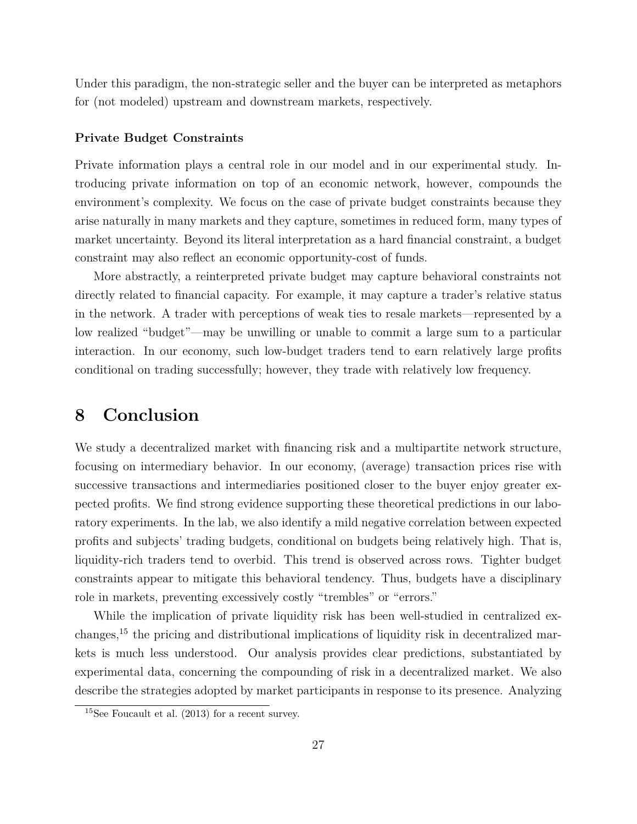Under this paradigm, the non-strategic seller and the buyer can be interpreted as metaphors for (not modeled) upstream and downstream markets, respectively.

#### **Private Budget Constraints**

Private information plays a central role in our model and in our experimental study. Introducing private information on top of an economic network, however, compounds the environment's complexity. We focus on the case of private budget constraints because they arise naturally in many markets and they capture, sometimes in reduced form, many types of market uncertainty. Beyond its literal interpretation as a hard financial constraint, a budget constraint may also reflect an economic opportunity-cost of funds.

More abstractly, a reinterpreted private budget may capture behavioral constraints not directly related to financial capacity. For example, it may capture a trader's relative status in the network. A trader with perceptions of weak ties to resale markets—represented by a low realized "budget"—may be unwilling or unable to commit a large sum to a particular interaction. In our economy, such low-budget traders tend to earn relatively large profits conditional on trading successfully; however, they trade with relatively low frequency.

### **8 Conclusion**

We study a decentralized market with financing risk and a multipartite network structure, focusing on intermediary behavior. In our economy, (average) transaction prices rise with successive transactions and intermediaries positioned closer to the buyer enjoy greater expected profits. We find strong evidence supporting these theoretical predictions in our laboratory experiments. In the lab, we also identify a mild negative correlation between expected profits and subjects' trading budgets, conditional on budgets being relatively high. That is, liquidity-rich traders tend to overbid. This trend is observed across rows. Tighter budget constraints appear to mitigate this behavioral tendency. Thus, budgets have a disciplinary role in markets, preventing excessively costly "trembles" or "errors."

While the implication of private liquidity risk has been well-studied in centralized exchanges,<sup>15</sup> the pricing and distributional implications of liquidity risk in decentralized markets is much less understood. Our analysis provides clear predictions, substantiated by experimental data, concerning the compounding of risk in a decentralized market. We also describe the strategies adopted by market participants in response to its presence. Analyzing

<sup>15</sup>See Foucault et al. (2013) for a recent survey.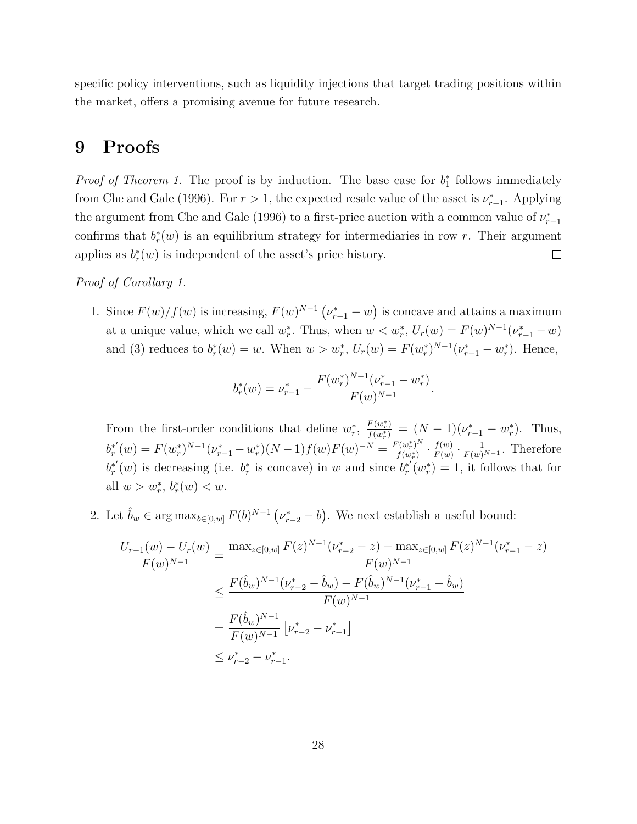specific policy interventions, such as liquidity injections that target trading positions within the market, offers a promising avenue for future research.

### **9 Proofs**

*Proof of Theorem 1.* The proof is by induction. The base case for  $b_1^*$  follows immediately from Che and Gale (1996). For  $r > 1$ , the expected resale value of the asset is  $\nu_{r-1}^*$ . Applying the argument from Che and Gale (1996) to a first-price auction with a common value of  $\nu_{r-1}^*$ confirms that  $b_r^*(w)$  is an equilibrium strategy for intermediaries in row *r*. Their argument applies as  $b_r^*(w)$  is independent of the asset's price history.  $\Box$ 

#### *Proof of Corollary 1.*

1. Since  $F(w)/f(w)$  is increasing,  $F(w)^{N-1} (v_{r-1}^* - w)$  is concave and attains a maximum at a unique value, which we call  $w_r^*$ . Thus, when  $w < w_r^*$ ,  $U_r(w) = F(w)^{N-1}(\nu_{r-1}^* - w)$ and (3) reduces to  $b_r^*(w) = w$ . When  $w > w_r^*$ ,  $U_r(w) = F(w_r^*)^{N-1}(\nu_{r-1}^* - w_r^*)$ . Hence,

$$
b_r^*(w) = \nu_{r-1}^* - \frac{F(w_r^*)^{N-1}(\nu_{r-1}^* - w_r^*)}{F(w)^{N-1}}.
$$

From the first-order conditions that define  $w_r^*$ ,  $\frac{F(w_r^*)}{f(w_r^*)}$  $f(w_r^*) = (N-1)(\nu_{r-1}^* - w_r^*)$ . Thus,  $b_r^{*'}(w) = F(w_r^*)^{N-1}(\nu_{r-1}^* - w_r^*)(N-1)f(w)F(w)^{-N} = \frac{F(w_r^*)^N}{f(w_r^*)}$  $\frac{f(w_r^*)^N}{f(w_r^*)} \cdot \frac{f(w)}{F(w)}$  $\frac{f(w)}{F(w)}\cdot\frac{1}{F(w)}$  $\frac{1}{F(w)^{N-1}}$ . Therefore  $b_r^{*'}(w)$  is decreasing (i.e.  $b_r^{*}$  is concave) in *w* and since  $b_r^{*'}(w_r^{*}) = 1$ , it follows that for all  $w > w_r^*$ ,  $b_r^*(w) < w$ .

2. Let  $\hat{b}_w \in \arg \max_{b \in [0,w]} F(b)^{N-1} \left( \nu_{r-2}^* - b \right)$ . We next establish a useful bound:

$$
\frac{U_{r-1}(w) - U_r(w)}{F(w)^{N-1}} = \frac{\max_{z \in [0,w]} F(z)^{N-1} (\nu_{r-2}^* - z) - \max_{z \in [0,w]} F(z)^{N-1} (\nu_{r-1}^* - z)}{F(w)^{N-1}}
$$
  

$$
\leq \frac{F(\hat{b}_w)^{N-1} (\nu_{r-2}^* - \hat{b}_w) - F(\hat{b}_w)^{N-1} (\nu_{r-1}^* - \hat{b}_w)}{F(w)^{N-1}}
$$
  

$$
= \frac{F(\hat{b}_w)^{N-1}}{F(w)^{N-1}} [\nu_{r-2}^* - \nu_{r-1}^*]
$$
  

$$
\leq \nu_{r-2}^* - \nu_{r-1}^*.
$$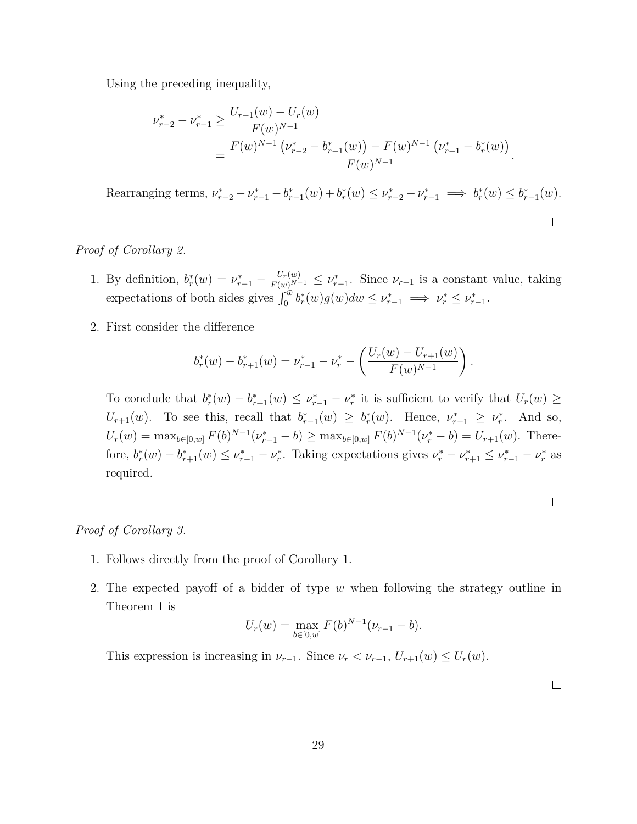Using the preceding inequality,

$$
\nu_{r-2}^* - \nu_{r-1}^* \ge \frac{U_{r-1}(w) - U_r(w)}{F(w)^{N-1}}
$$
  
= 
$$
\frac{F(w)^{N-1} \left(\nu_{r-2}^* - b_{r-1}^*(w)\right) - F(w)^{N-1} \left(\nu_{r-1}^* - b_r^*(w)\right)}{F(w)^{N-1}}.
$$

Rearranging terms,  $\nu_{r-2}^* - \nu_{r-1}^* - b_{r-1}^*(w) + b_r^*(w) \leq \nu_{r-2}^* - \nu_{r-1}^* \implies b_r^*(w) \leq b_{r-1}^*(w)$ .  $\Box$ 

#### *Proof of Corollary 2.*

- 1. By definition,  $b_r^*(w) = \nu_{r-1}^* \frac{U_r(w)}{F(w)^{N-1}} \leq \nu_{r-1}^*$ . Since  $\nu_{r-1}$  is a constant value, taking expectations of both sides gives  $\int_0^{\tilde{w}} b_r^*(w) g(w) dw \leq \nu_{r-1}^* \implies \nu_r^* \leq \nu_{r-1}^*$ .
- 2. First consider the difference

$$
b_r^*(w) - b_{r+1}^*(w) = \nu_{r-1}^* - \nu_r^* - \left(\frac{U_r(w) - U_{r+1}(w)}{F(w)^{N-1}}\right).
$$

To conclude that  $b_r^*(w) - b_{r+1}^*(w) \leq \nu_{r-1}^* - \nu_r^*$  it is sufficient to verify that  $U_r(w) \geq$  $U_{r+1}(w)$ . To see this, recall that  $b_{r-1}^*(w) \geq b_r^*(w)$ . Hence,  $\nu_{r-1}^* \geq \nu_r^*$ . And so,  $U_r(w) = \max_{b \in [0,w]} F(b)^{N-1}(\nu_{r-1}^* - b) \ge \max_{b \in [0,w]} F(b)^{N-1}(\nu_r^* - b) = U_{r+1}(w)$ . Therefore,  $b_r^*(w) - b_{r+1}^*(w) \le \nu_{r-1}^* - \nu_r^*$ . Taking expectations gives  $\nu_r^* - \nu_{r+1}^* \le \nu_{r-1}^* - \nu_r^*$  as required.

$$
\Box
$$

#### *Proof of Corollary 3.*

- 1. Follows directly from the proof of Corollary 1.
- 2. The expected payoff of a bidder of type *w* when following the strategy outline in Theorem 1 is

$$
U_r(w) = \max_{b \in [0,w]} F(b)^{N-1} (\nu_{r-1} - b).
$$

This expression is increasing in  $\nu_{r-1}$ . Since  $\nu_r < \nu_{r-1}$ ,  $U_{r+1}(w) \leq U_r(w)$ .

 $\Box$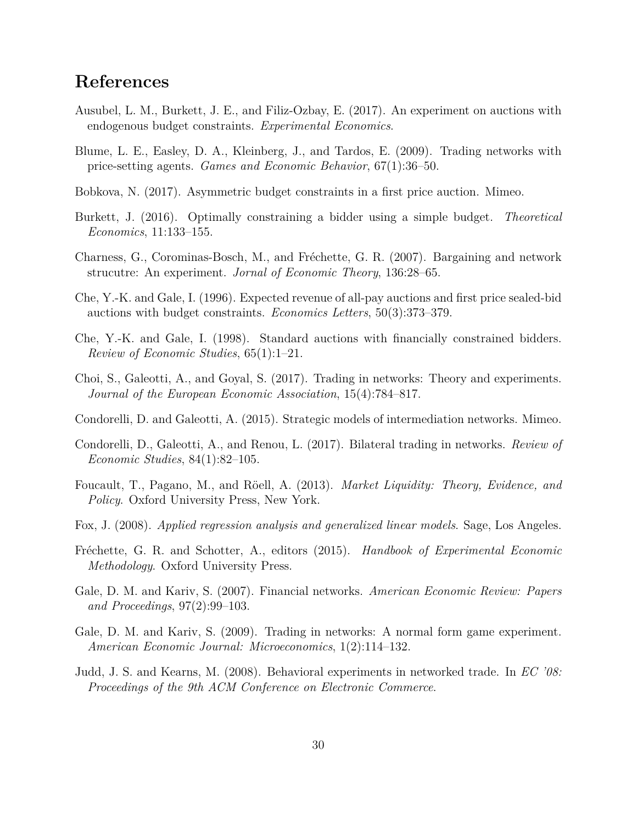# **References**

- Ausubel, L. M., Burkett, J. E., and Filiz-Ozbay, E. (2017). An experiment on auctions with endogenous budget constraints. *Experimental Economics*.
- Blume, L. E., Easley, D. A., Kleinberg, J., and Tardos, E. (2009). Trading networks with price-setting agents. *Games and Economic Behavior*, 67(1):36–50.
- Bobkova, N. (2017). Asymmetric budget constraints in a first price auction. Mimeo.
- Burkett, J. (2016). Optimally constraining a bidder using a simple budget. *Theoretical Economics*, 11:133–155.
- Charness, G., Corominas-Bosch, M., and Fréchette, G. R. (2007). Bargaining and network strucutre: An experiment. *Jornal of Economic Theory*, 136:28–65.
- Che, Y.-K. and Gale, I. (1996). Expected revenue of all-pay auctions and first price sealed-bid auctions with budget constraints. *Economics Letters*, 50(3):373–379.
- Che, Y.-K. and Gale, I. (1998). Standard auctions with financially constrained bidders. *Review of Economic Studies*, 65(1):1–21.
- Choi, S., Galeotti, A., and Goyal, S. (2017). Trading in networks: Theory and experiments. *Journal of the European Economic Association*, 15(4):784–817.
- Condorelli, D. and Galeotti, A. (2015). Strategic models of intermediation networks. Mimeo.
- Condorelli, D., Galeotti, A., and Renou, L. (2017). Bilateral trading in networks. *Review of Economic Studies*, 84(1):82–105.
- Foucault, T., Pagano, M., and Röell, A. (2013). *Market Liquidity: Theory, Evidence, and Policy*. Oxford University Press, New York.
- Fox, J. (2008). *Applied regression analysis and generalized linear models*. Sage, Los Angeles.
- Fréchette, G. R. and Schotter, A., editors (2015). *Handbook of Experimental Economic Methodology*. Oxford University Press.
- Gale, D. M. and Kariv, S. (2007). Financial networks. *American Economic Review: Papers and Proceedings*, 97(2):99–103.
- Gale, D. M. and Kariv, S. (2009). Trading in networks: A normal form game experiment. *American Economic Journal: Microeconomics*, 1(2):114–132.
- Judd, J. S. and Kearns, M. (2008). Behavioral experiments in networked trade. In *EC '08: Proceedings of the 9th ACM Conference on Electronic Commerce*.